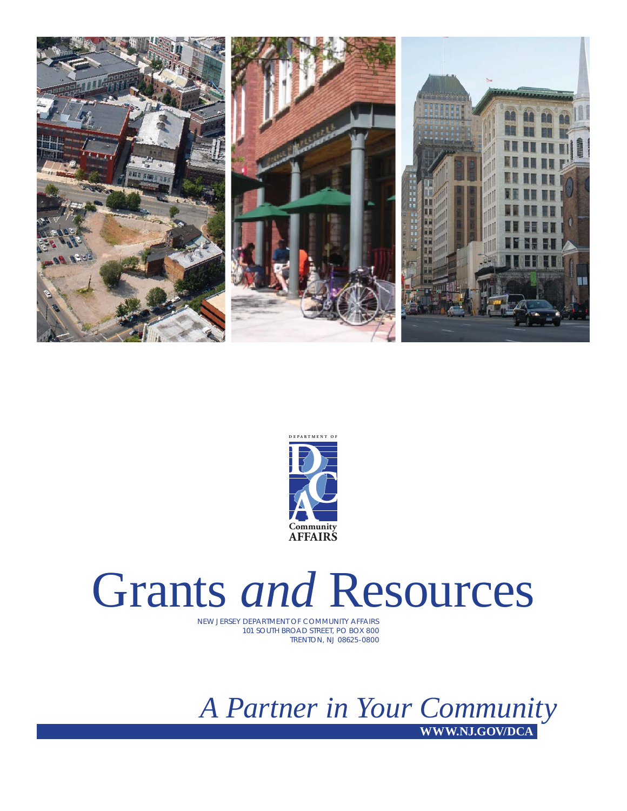



# Grants *and* Resources

NEW JERSEY DEPARTMENT OF COMMUNITY AFFAIRS 101 SOUTH BROAD STREET, PO BOX 800 TRENTON, NJ 08625-0800

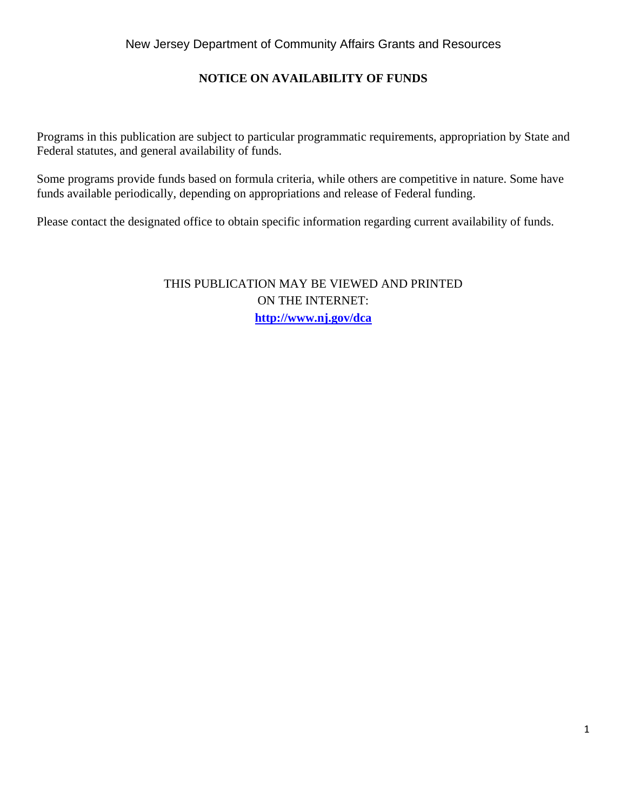# **NOTICE ON AVAILABILITY OF FUNDS**

Programs in this publication are subject to particular programmatic requirements, appropriation by State and Federal statutes, and general availability of funds.

Some programs provide funds based on formula criteria, while others are competitive in nature. Some have funds available periodically, depending on appropriations and release of Federal funding.

Please contact the designated office to obtain specific information regarding current availability of funds.

THIS PUBLICATION MAY BE VIEWED AND PRINTED ON THE INTERNET: **http://www.nj.gov/dca**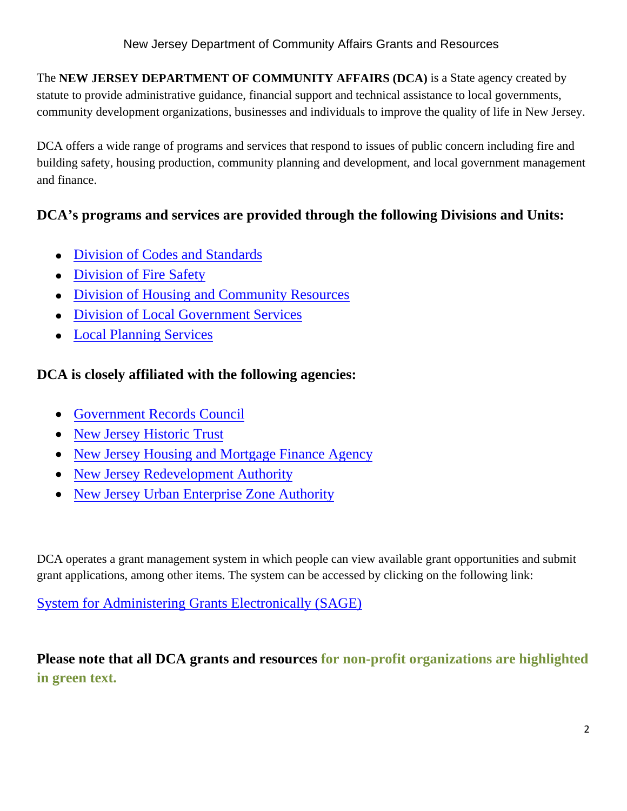The **NEW JERSEY DEPARTMENT OF COMMUNITY AFFAIRS (DCA)** is a State agency created by statute to provide administrative guidance, financial support and technical assistance to local governments, community development organizations, businesses and individuals to improve the quality of life in New Jersey.

DCA offers a wide range of programs and services that respond to issues of public concern including fire and building safety, housing production, community planning and development, and local government management and finance.

# **DCA's programs and services are provided through the following Divisions and Units:**

- Division of Codes and Standards
- Division of Fire Safety
- Division of Housing and Community Resources
- Division of Local Government Services
- Local Planning Services

# **DCA is closely affiliated with the following agencies:**

- Government Records Council
- New Jersey Historic Trust
- New Jersey Housing and Mortgage Finance Agency
- New Jersey Redevelopment Authority
- New Jersey Urban Enterprise Zone Authority

DCA operates a grant management system in which people can view available grant opportunities and submit grant applications, among other items. The system can be accessed by clicking on the following link:

System for Administering Grants Electronically (SAGE)

**Please note that all DCA grants and resources for non-profit organizations are highlighted in green text.**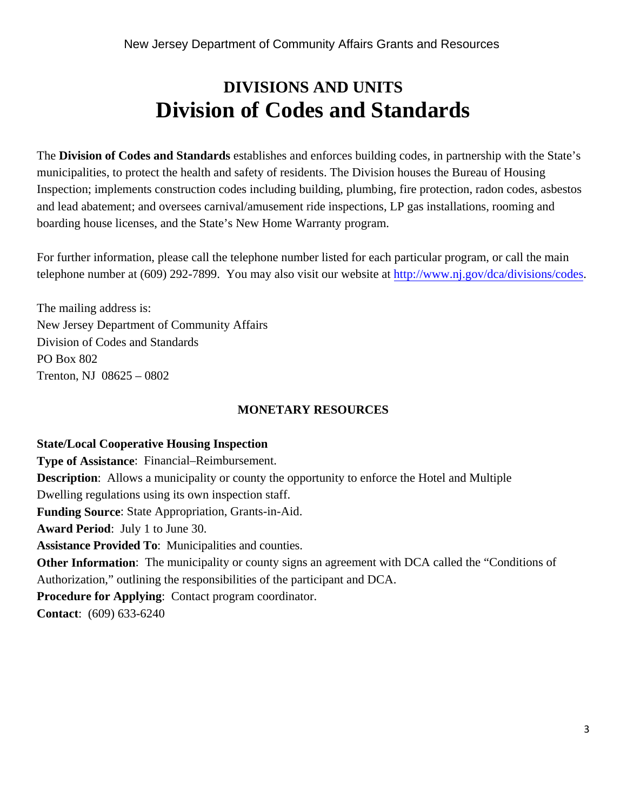# **DIVISIONS AND UNITS Division of Codes and Standards**

The **Division of Codes and Standards** establishes and enforces building codes, in partnership with the State's municipalities, to protect the health and safety of residents. The Division houses the Bureau of Housing Inspection; implements construction codes including building, plumbing, fire protection, radon codes, asbestos and lead abatement; and oversees carnival/amusement ride inspections, LP gas installations, rooming and boarding house licenses, and the State's New Home Warranty program.

For further information, please call the telephone number listed for each particular program, or call the main telephone number at (609) 292-7899. You may also visit our website at http://www.nj.gov/dca/divisions/codes.

The mailing address is: New Jersey Department of Community Affairs Division of Codes and Standards PO Box 802 Trenton, NJ 08625 – 0802

# **MONETARY RESOURCES**

#### **State/Local Cooperative Housing Inspection**

**Type of Assistance**: Financial–Reimbursement. **Description**: Allows a municipality or county the opportunity to enforce the Hotel and Multiple Dwelling regulations using its own inspection staff. **Funding Source**: State Appropriation, Grants-in-Aid. **Award Period**: July 1 to June 30. **Assistance Provided To**: Municipalities and counties. **Other Information**: The municipality or county signs an agreement with DCA called the "Conditions of Authorization," outlining the responsibilities of the participant and DCA. **Procedure for Applying**: Contact program coordinator. **Contact**: (609) 633-6240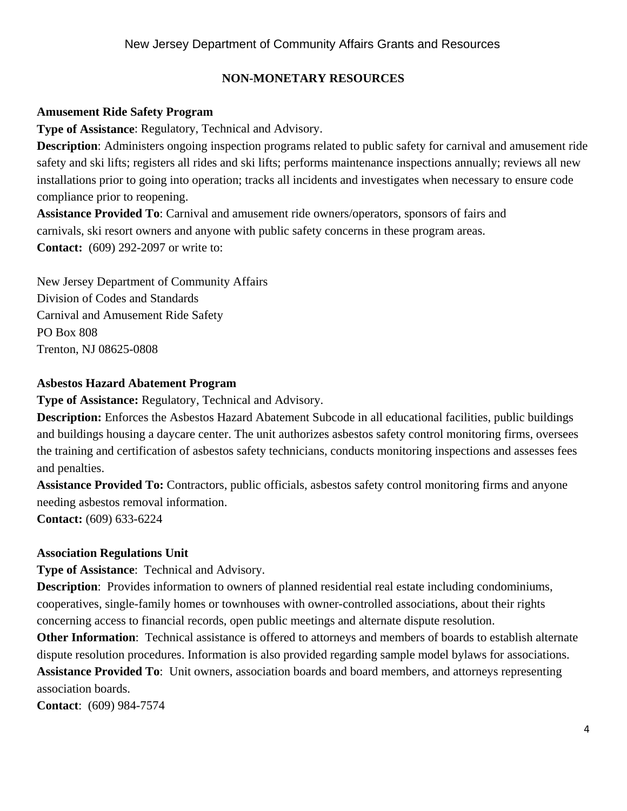# **NON-MONETARY RESOURCES**

### **Amusement Ride Safety Program**

**Type of Assistance**: Regulatory, Technical and Advisory.

**Description**: Administers ongoing inspection programs related to public safety for carnival and amusement ride safety and ski lifts; registers all rides and ski lifts; performs maintenance inspections annually; reviews all new installations prior to going into operation; tracks all incidents and investigates when necessary to ensure code compliance prior to reopening.

**Assistance Provided To**: Carnival and amusement ride owners/operators, sponsors of fairs and carnivals, ski resort owners and anyone with public safety concerns in these program areas. **Contact:** (609) 292-2097 or write to:

New Jersey Department of Community Affairs Division of Codes and Standards Carnival and Amusement Ride Safety PO Box 808 Trenton, NJ 08625-0808

# **Asbestos Hazard Abatement Program**

**Type of Assistance:** Regulatory, Technical and Advisory.

**Description:** Enforces the Asbestos Hazard Abatement Subcode in all educational facilities, public buildings and buildings housing a daycare center. The unit authorizes asbestos safety control monitoring firms, oversees the training and certification of asbestos safety technicians, conducts monitoring inspections and assesses fees and penalties.

**Assistance Provided To:** Contractors, public officials, asbestos safety control monitoring firms and anyone needing asbestos removal information.

**Contact:** (609) 633-6224

#### **Association Regulations Unit**

**Type of Assistance**: Technical and Advisory.

**Description:** Provides information to owners of planned residential real estate including condominiums, cooperatives, single-family homes or townhouses with owner-controlled associations, about their rights concerning access to financial records, open public meetings and alternate dispute resolution.

**Other Information**: Technical assistance is offered to attorneys and members of boards to establish alternate dispute resolution procedures. Information is also provided regarding sample model bylaws for associations. **Assistance Provided To**: Unit owners, association boards and board members, and attorneys representing association boards.

**Contact**: (609) 984-7574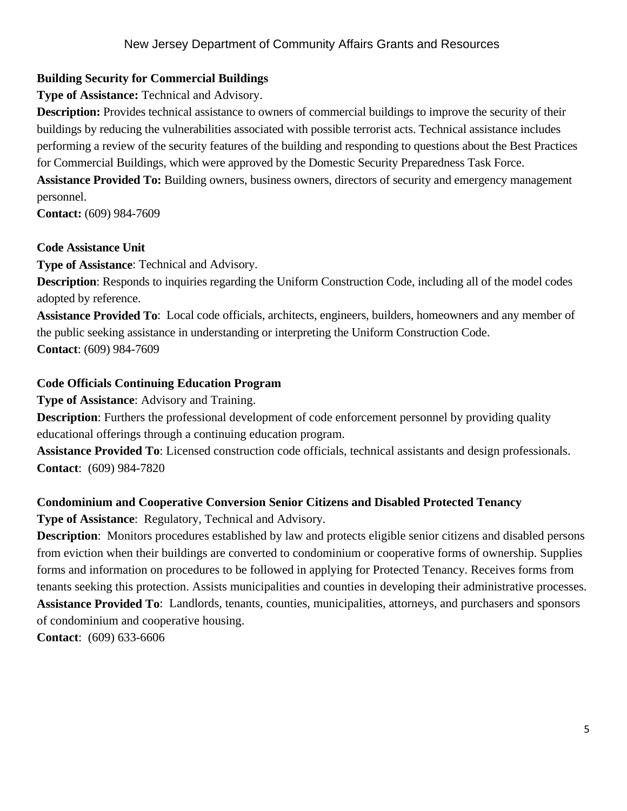# **Building Security for Commercial Buildings**

**Type of Assistance:** Technical and Advisory.

**Description:** Provides technical assistance to owners of commercial buildings to improve the security of their buildings by reducing the vulnerabilities associated with possible terrorist acts. Technical assistance includes performing a review of the security features of the building and responding to questions about the Best Practices for Commercial Buildings, which were approved by the Domestic Security Preparedness Task Force.

**Assistance Provided To:** Building owners, business owners, directors of security and emergency management personnel.

**Contact:** (609) 984-7609

# **Code Assistance Unit**

**Type of Assistance**: Technical and Advisory.

**Description**: Responds to inquiries regarding the Uniform Construction Code, including all of the model codes adopted by reference.

**Assistance Provided To**: Local code officials, architects, engineers, builders, homeowners and any member of the public seeking assistance in understanding or interpreting the Uniform Construction Code. **Contact**: (609) 984-7609

# **Code Officials Continuing Education Program**

**Type of Assistance**: Advisory and Training.

**Description**: Furthers the professional development of code enforcement personnel by providing quality educational offerings through a continuing education program.

**Assistance Provided To**: Licensed construction code officials, technical assistants and design professionals. **Contact**: (609) 984-7820

# **Condominium and Cooperative Conversion Senior Citizens and Disabled Protected Tenancy**

**Type of Assistance**: Regulatory, Technical and Advisory.

**Description**: Monitors procedures established by law and protects eligible senior citizens and disabled persons from eviction when their buildings are converted to condominium or cooperative forms of ownership. Supplies forms and information on procedures to be followed in applying for Protected Tenancy. Receives forms from tenants seeking this protection. Assists municipalities and counties in developing their administrative processes. **Assistance Provided To**: Landlords, tenants, counties, municipalities, attorneys, and purchasers and sponsors of condominium and cooperative housing. **Contact**: (609) 633-6606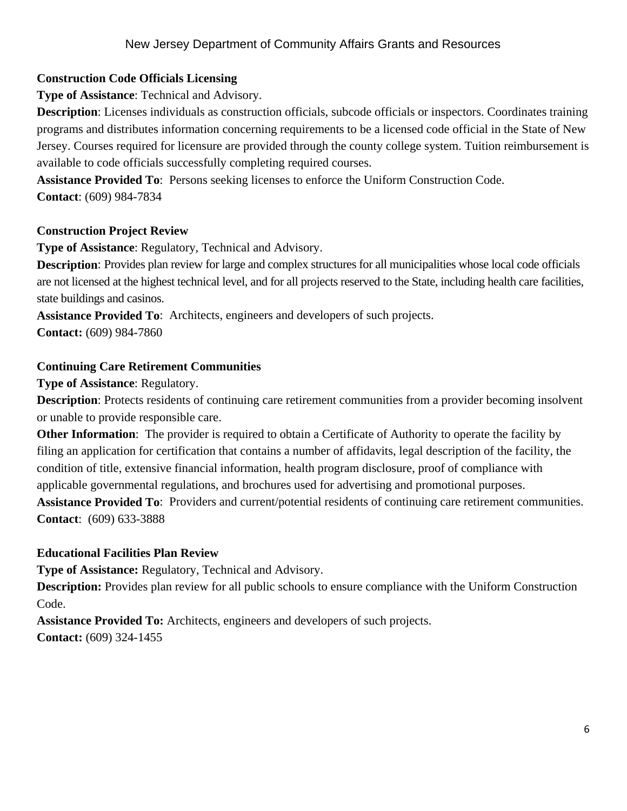# **Construction Code Officials Licensing**

**Type of Assistance**: Technical and Advisory.

**Description**: Licenses individuals as construction officials, subcode officials or inspectors. Coordinates training programs and distributes information concerning requirements to be a licensed code official in the State of New Jersey. Courses required for licensure are provided through the county college system. Tuition reimbursement is available to code officials successfully completing required courses.

**Assistance Provided To**: Persons seeking licenses to enforce the Uniform Construction Code. **Contact**: (609) 984-7834

# **Construction Project Review**

**Type of Assistance**: Regulatory, Technical and Advisory.

**Description**: Provides plan review for large and complex structures for all municipalities whose local code officials are not licensed at the highest technical level, and for all projects reserved to the State, including health care facilities, state buildings and casinos.

**Assistance Provided To**: Architects, engineers and developers of such projects. **Contact:** (609) 984-7860

# **Continuing Care Retirement Communities**

**Type of Assistance**: Regulatory.

**Description**: Protects residents of continuing care retirement communities from a provider becoming insolvent or unable to provide responsible care.

**Other Information**: The provider is required to obtain a Certificate of Authority to operate the facility by filing an application for certification that contains a number of affidavits, legal description of the facility, the condition of title, extensive financial information, health program disclosure, proof of compliance with applicable governmental regulations, and brochures used for advertising and promotional purposes.

**Assistance Provided To**: Providers and current/potential residents of continuing care retirement communities. **Contact**: (609) 633-3888

# **Educational Facilities Plan Review**

**Type of Assistance:** Regulatory, Technical and Advisory.

**Description:** Provides plan review for all public schools to ensure compliance with the Uniform Construction Code.

**Assistance Provided To:** Architects, engineers and developers of such projects. **Contact:** (609) 324-1455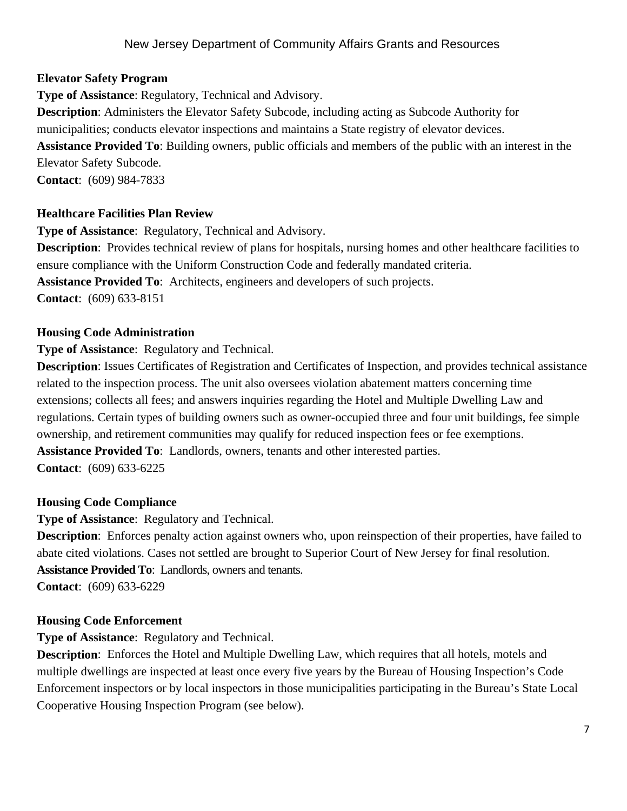#### **Elevator Safety Program**

**Type of Assistance**: Regulatory, Technical and Advisory.

**Description**: Administers the Elevator Safety Subcode, including acting as Subcode Authority for municipalities; conducts elevator inspections and maintains a State registry of elevator devices. **Assistance Provided To**: Building owners, public officials and members of the public with an interest in the Elevator Safety Subcode. **Contact**: (609) 984-7833

#### **Healthcare Facilities Plan Review**

**Type of Assistance**: Regulatory, Technical and Advisory. **Description**: Provides technical review of plans for hospitals, nursing homes and other healthcare facilities to ensure compliance with the Uniform Construction Code and federally mandated criteria. **Assistance Provided To**: Architects, engineers and developers of such projects. **Contact**: (609) 633-8151

#### **Housing Code Administration**

**Type of Assistance**: Regulatory and Technical.

**Description**: Issues Certificates of Registration and Certificates of Inspection, and provides technical assistance related to the inspection process. The unit also oversees violation abatement matters concerning time extensions; collects all fees; and answers inquiries regarding the Hotel and Multiple Dwelling Law and regulations. Certain types of building owners such as owner-occupied three and four unit buildings, fee simple ownership, and retirement communities may qualify for reduced inspection fees or fee exemptions. **Assistance Provided To**: Landlords, owners, tenants and other interested parties. **Contact**: (609) 633-6225

#### **Housing Code Compliance**

**Type of Assistance**: Regulatory and Technical.

**Description**: Enforces penalty action against owners who, upon reinspection of their properties, have failed to abate cited violations. Cases not settled are brought to Superior Court of New Jersey for final resolution. **Assistance Provided To**: Landlords, owners and tenants.

**Contact**: (609) 633-6229

#### **Housing Code Enforcement**

**Type of Assistance**: Regulatory and Technical.

**Description**: Enforces the Hotel and Multiple Dwelling Law, which requires that all hotels, motels and multiple dwellings are inspected at least once every five years by the Bureau of Housing Inspection's Code Enforcement inspectors or by local inspectors in those municipalities participating in the Bureau's State Local Cooperative Housing Inspection Program (see below).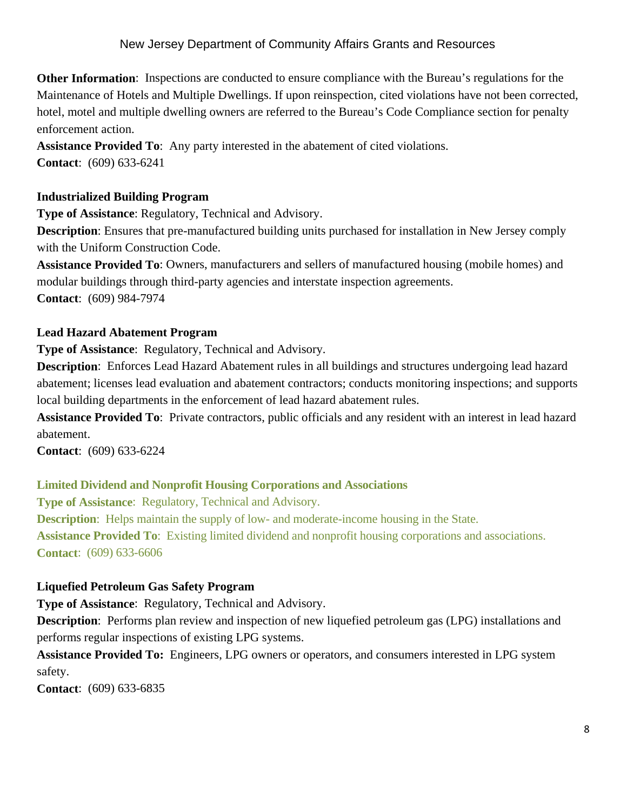**Other Information**: Inspections are conducted to ensure compliance with the Bureau's regulations for the Maintenance of Hotels and Multiple Dwellings. If upon reinspection, cited violations have not been corrected, hotel, motel and multiple dwelling owners are referred to the Bureau's Code Compliance section for penalty enforcement action.

**Assistance Provided To**: Any party interested in the abatement of cited violations. **Contact**: (609) 633-6241

#### **Industrialized Building Program**

**Type of Assistance**: Regulatory, Technical and Advisory.

**Description**: Ensures that pre-manufactured building units purchased for installation in New Jersey comply with the Uniform Construction Code.

**Assistance Provided To**: Owners, manufacturers and sellers of manufactured housing (mobile homes) and modular buildings through third-party agencies and interstate inspection agreements. **Contact**: (609) 984-7974

#### **Lead Hazard Abatement Program**

**Type of Assistance**: Regulatory, Technical and Advisory.

**Description**: Enforces Lead Hazard Abatement rules in all buildings and structures undergoing lead hazard abatement; licenses lead evaluation and abatement contractors; conducts monitoring inspections; and supports local building departments in the enforcement of lead hazard abatement rules.

**Assistance Provided To**: Private contractors, public officials and any resident with an interest in lead hazard abatement.

**Contact**: (609) 633-6224

#### **Limited Dividend and Nonprofit Housing Corporations and Associations**

**Type of Assistance**: Regulatory, Technical and Advisory. **Description**: Helps maintain the supply of low- and moderate-income housing in the State. **Assistance Provided To**: Existing limited dividend and nonprofit housing corporations and associations. **Contact**: (609) 633-6606

#### **Liquefied Petroleum Gas Safety Program**

**Type of Assistance**: Regulatory, Technical and Advisory.

**Description**: Performs plan review and inspection of new liquefied petroleum gas (LPG) installations and performs regular inspections of existing LPG systems.

**Assistance Provided To:** Engineers, LPG owners or operators, and consumers interested in LPG system safety.

**Contact**: (609) 633-6835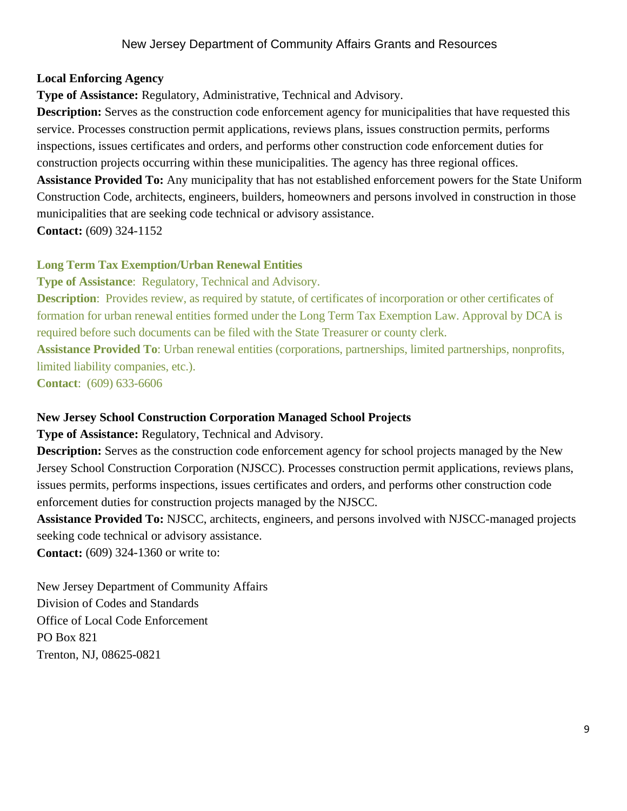#### **Local Enforcing Agency**

**Type of Assistance:** Regulatory, Administrative, Technical and Advisory.

**Description:** Serves as the construction code enforcement agency for municipalities that have requested this service. Processes construction permit applications, reviews plans, issues construction permits, performs inspections, issues certificates and orders, and performs other construction code enforcement duties for construction projects occurring within these municipalities. The agency has three regional offices.

**Assistance Provided To:** Any municipality that has not established enforcement powers for the State Uniform Construction Code, architects, engineers, builders, homeowners and persons involved in construction in those municipalities that are seeking code technical or advisory assistance.

**Contact:** (609) 324-1152

#### **Long Term Tax Exemption/Urban Renewal Entities**

**Type of Assistance**: Regulatory, Technical and Advisory.

**Description**: Provides review, as required by statute, of certificates of incorporation or other certificates of formation for urban renewal entities formed under the Long Term Tax Exemption Law. Approval by DCA is required before such documents can be filed with the State Treasurer or county clerk.

**Assistance Provided To**: Urban renewal entities (corporations, partnerships, limited partnerships, nonprofits, limited liability companies, etc.).

**Contact**: (609) 633-6606

#### **New Jersey School Construction Corporation Managed School Projects**

**Type of Assistance:** Regulatory, Technical and Advisory.

**Description:** Serves as the construction code enforcement agency for school projects managed by the New Jersey School Construction Corporation (NJSCC). Processes construction permit applications, reviews plans, issues permits, performs inspections, issues certificates and orders, and performs other construction code enforcement duties for construction projects managed by the NJSCC.

**Assistance Provided To:** NJSCC, architects, engineers, and persons involved with NJSCC-managed projects seeking code technical or advisory assistance.

**Contact:** (609) 324-1360 or write to:

New Jersey Department of Community Affairs Division of Codes and Standards Office of Local Code Enforcement PO Box 821 Trenton, NJ, 08625-0821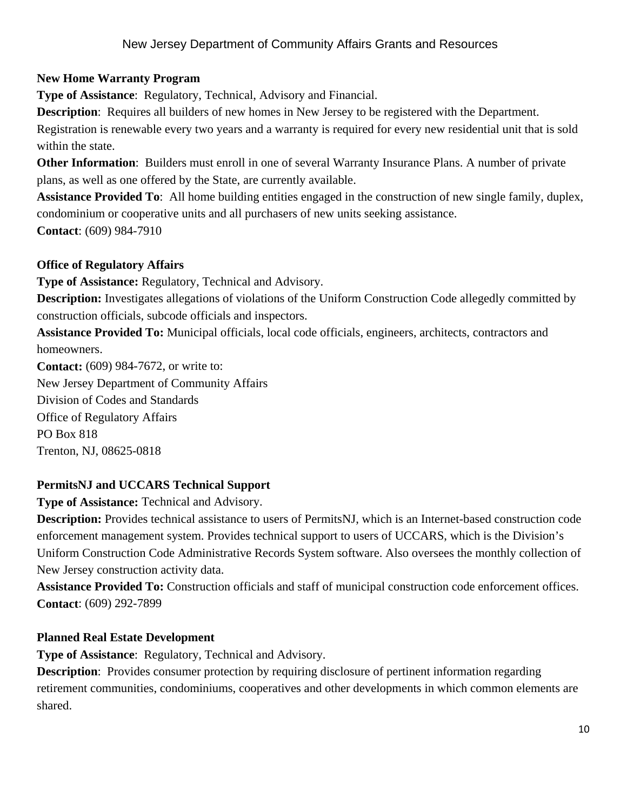# **New Home Warranty Program**

**Type of Assistance**: Regulatory, Technical, Advisory and Financial.

**Description**: Requires all builders of new homes in New Jersey to be registered with the Department.

Registration is renewable every two years and a warranty is required for every new residential unit that is sold within the state.

**Other Information**: Builders must enroll in one of several Warranty Insurance Plans. A number of private plans, as well as one offered by the State, are currently available.

**Assistance Provided To**: All home building entities engaged in the construction of new single family, duplex, condominium or cooperative units and all purchasers of new units seeking assistance. **Contact**: (609) 984-7910

# **Office of Regulatory Affairs**

**Type of Assistance:** Regulatory, Technical and Advisory.

**Description:** Investigates allegations of violations of the Uniform Construction Code allegedly committed by construction officials, subcode officials and inspectors.

**Assistance Provided To:** Municipal officials, local code officials, engineers, architects, contractors and homeowners.

**Contact:** (609) 984-7672, or write to: New Jersey Department of Community Affairs Division of Codes and Standards Office of Regulatory Affairs PO Box 818 Trenton, NJ, 08625-0818

# **PermitsNJ and UCCARS Technical Support**

**Type of Assistance:** Technical and Advisory.

**Description:** Provides technical assistance to users of PermitsNJ, which is an Internet-based construction code enforcement management system. Provides technical support to users of UCCARS, which is the Division's Uniform Construction Code Administrative Records System software. Also oversees the monthly collection of New Jersey construction activity data.

**Assistance Provided To:** Construction officials and staff of municipal construction code enforcement offices. **Contact**: (609) 292-7899

# **Planned Real Estate Development**

**Type of Assistance**: Regulatory, Technical and Advisory.

**Description**: Provides consumer protection by requiring disclosure of pertinent information regarding retirement communities, condominiums, cooperatives and other developments in which common elements are shared.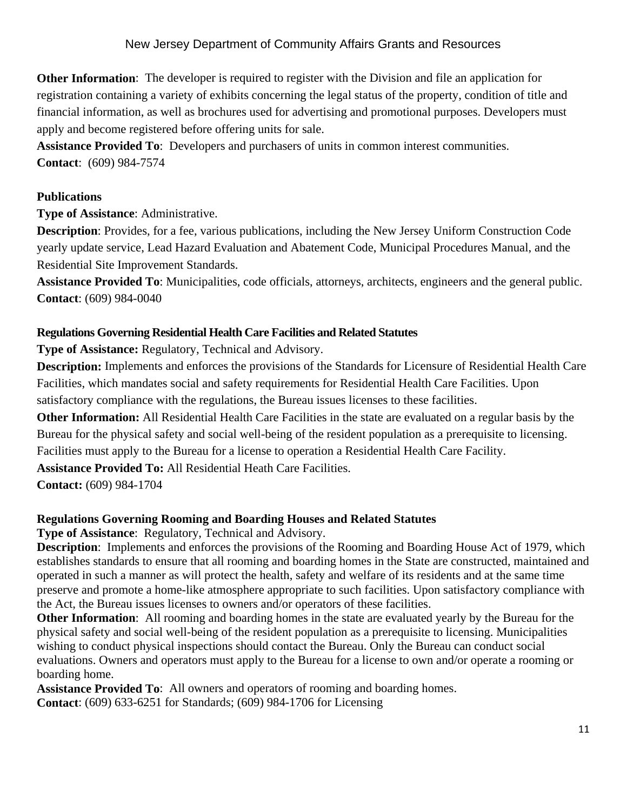**Other Information**: The developer is required to register with the Division and file an application for registration containing a variety of exhibits concerning the legal status of the property, condition of title and financial information, as well as brochures used for advertising and promotional purposes. Developers must apply and become registered before offering units for sale.

**Assistance Provided To**: Developers and purchasers of units in common interest communities. **Contact**: (609) 984-7574

#### **Publications**

**Type of Assistance**: Administrative.

**Description**: Provides, for a fee, various publications, including the New Jersey Uniform Construction Code yearly update service, Lead Hazard Evaluation and Abatement Code, Municipal Procedures Manual, and the Residential Site Improvement Standards.

**Assistance Provided To**: Municipalities, code officials, attorneys, architects, engineers and the general public. **Contact**: (609) 984-0040

#### **Regulations Governing Residential Health Care Facilities and Related Statutes**

**Type of Assistance:** Regulatory, Technical and Advisory.

**Description:** Implements and enforces the provisions of the Standards for Licensure of Residential Health Care Facilities, which mandates social and safety requirements for Residential Health Care Facilities. Upon satisfactory compliance with the regulations, the Bureau issues licenses to these facilities.

**Other Information:** All Residential Health Care Facilities in the state are evaluated on a regular basis by the Bureau for the physical safety and social well-being of the resident population as a prerequisite to licensing. Facilities must apply to the Bureau for a license to operation a Residential Health Care Facility.

**Assistance Provided To:** All Residential Heath Care Facilities.

**Contact:** (609) 984-1704

#### **Regulations Governing Rooming and Boarding Houses and Related Statutes**

**Type of Assistance**: Regulatory, Technical and Advisory.

**Description**: Implements and enforces the provisions of the Rooming and Boarding House Act of 1979, which establishes standards to ensure that all rooming and boarding homes in the State are constructed, maintained and operated in such a manner as will protect the health, safety and welfare of its residents and at the same time preserve and promote a home-like atmosphere appropriate to such facilities. Upon satisfactory compliance with the Act, the Bureau issues licenses to owners and/or operators of these facilities.

**Other Information**: All rooming and boarding homes in the state are evaluated yearly by the Bureau for the physical safety and social well-being of the resident population as a prerequisite to licensing. Municipalities wishing to conduct physical inspections should contact the Bureau. Only the Bureau can conduct social evaluations. Owners and operators must apply to the Bureau for a license to own and/or operate a rooming or boarding home.

**Assistance Provided To**: All owners and operators of rooming and boarding homes. **Contact**: (609) 633-6251 for Standards; (609) 984-1706 for Licensing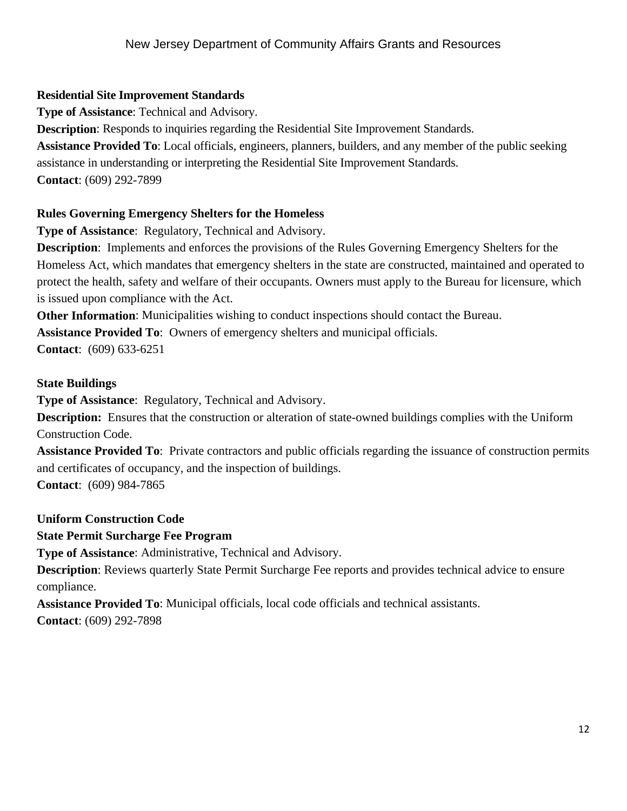# **Residential Site Improvement Standards**

**Type of Assistance**: Technical and Advisory.

**Description**: Responds to inquiries regarding the Residential Site Improvement Standards.

**Assistance Provided To**: Local officials, engineers, planners, builders, and any member of the public seeking assistance in understanding or interpreting the Residential Site Improvement Standards. **Contact**: (609) 292-7899

# **Rules Governing Emergency Shelters for the Homeless**

**Type of Assistance**: Regulatory, Technical and Advisory.

**Description**: Implements and enforces the provisions of the Rules Governing Emergency Shelters for the Homeless Act, which mandates that emergency shelters in the state are constructed, maintained and operated to protect the health, safety and welfare of their occupants. Owners must apply to the Bureau for licensure, which is issued upon compliance with the Act.

**Other Information**: Municipalities wishing to conduct inspections should contact the Bureau.

**Assistance Provided To**: Owners of emergency shelters and municipal officials.

**Contact**: (609) 633-6251

# **State Buildings**

**Type of Assistance**: Regulatory, Technical and Advisory.

**Description:** Ensures that the construction or alteration of state-owned buildings complies with the Uniform Construction Code.

**Assistance Provided To**: Private contractors and public officials regarding the issuance of construction permits and certificates of occupancy, and the inspection of buildings.

**Contact**: (609) 984-7865

# **Uniform Construction Code**

#### **State Permit Surcharge Fee Program**

**Type of Assistance**: Administrative, Technical and Advisory.

**Description:** Reviews quarterly State Permit Surcharge Fee reports and provides technical advice to ensure compliance.

**Assistance Provided To**: Municipal officials, local code officials and technical assistants. **Contact**: (609) 292-7898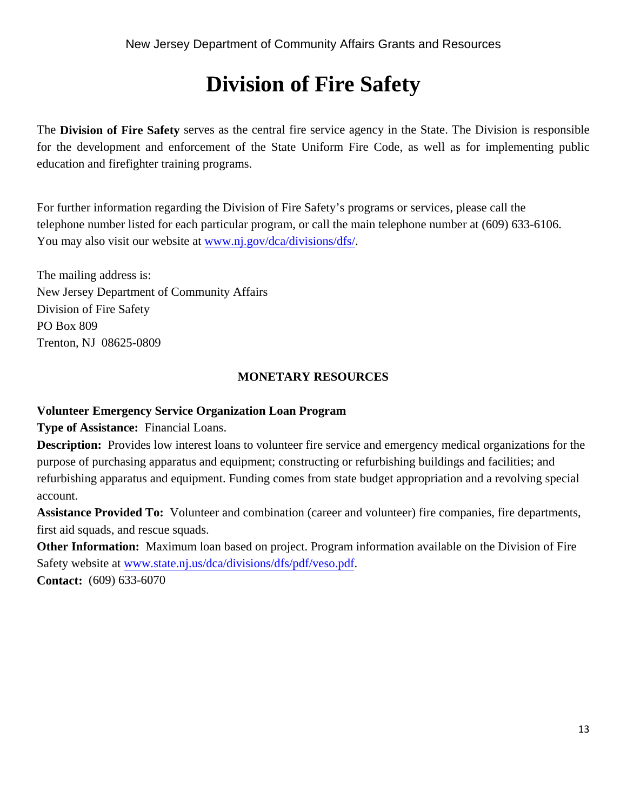# **Division of Fire Safety**

The **Division of Fire Safety** serves as the central fire service agency in the State. The Division is responsible for the development and enforcement of the State Uniform Fire Code, as well as for implementing public education and firefighter training programs.

For further information regarding the Division of Fire Safety's programs or services, please call the telephone number listed for each particular program, or call the main telephone number at (609) 633-6106. You may also visit our website at www.nj.gov/dca/divisions/dfs/.

The mailing address is: New Jersey Department of Community Affairs Division of Fire Safety PO Box 809 Trenton, NJ 08625-0809

# **MONETARY RESOURCES**

# **Volunteer Emergency Service Organization Loan Program**

**Type of Assistance:** Financial Loans.

**Description:** Provides low interest loans to volunteer fire service and emergency medical organizations for the purpose of purchasing apparatus and equipment; constructing or refurbishing buildings and facilities; and refurbishing apparatus and equipment. Funding comes from state budget appropriation and a revolving special account.

**Assistance Provided To:** Volunteer and combination (career and volunteer) fire companies, fire departments, first aid squads, and rescue squads.

**Other Information:** Maximum loan based on project. Program information available on the Division of Fire Safety website at www.state.nj.us/dca/divisions/dfs/pdf/veso.pdf.

**Contact:** (609) 633-6070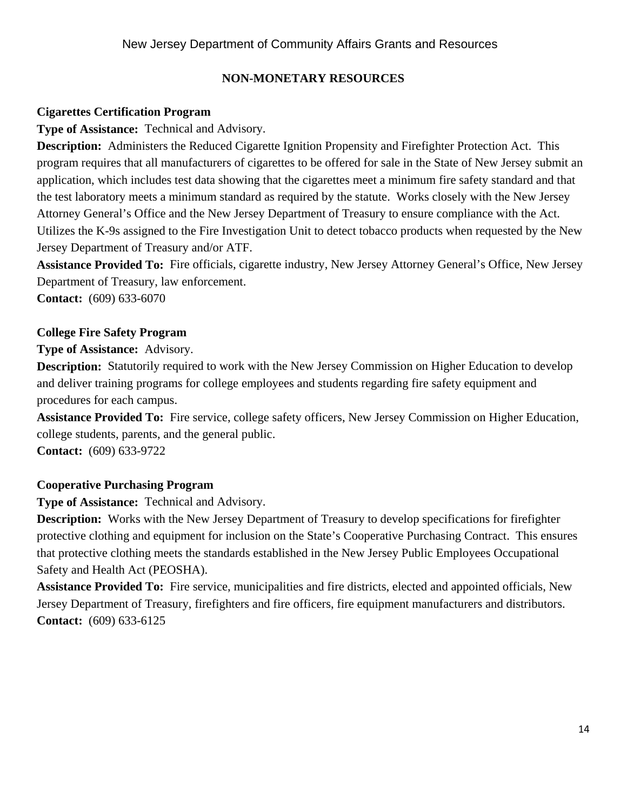# **NON-MONETARY RESOURCES**

# **Cigarettes Certification Program**

**Type of Assistance:** Technical and Advisory.

**Description:** Administers the Reduced Cigarette Ignition Propensity and Firefighter Protection Act. This program requires that all manufacturers of cigarettes to be offered for sale in the State of New Jersey submit an application, which includes test data showing that the cigarettes meet a minimum fire safety standard and that the test laboratory meets a minimum standard as required by the statute. Works closely with the New Jersey Attorney General's Office and the New Jersey Department of Treasury to ensure compliance with the Act. Utilizes the K-9s assigned to the Fire Investigation Unit to detect tobacco products when requested by the New Jersey Department of Treasury and/or ATF.

**Assistance Provided To:** Fire officials, cigarette industry, New Jersey Attorney General's Office, New Jersey Department of Treasury, law enforcement.

**Contact:** (609) 633-6070

# **College Fire Safety Program**

**Type of Assistance:** Advisory.

**Description:** Statutorily required to work with the New Jersey Commission on Higher Education to develop and deliver training programs for college employees and students regarding fire safety equipment and procedures for each campus.

**Assistance Provided To:** Fire service, college safety officers, New Jersey Commission on Higher Education, college students, parents, and the general public.

**Contact:** (609) 633-9722

#### **Cooperative Purchasing Program**

**Type of Assistance:** Technical and Advisory.

**Description:** Works with the New Jersey Department of Treasury to develop specifications for firefighter protective clothing and equipment for inclusion on the State's Cooperative Purchasing Contract. This ensures that protective clothing meets the standards established in the New Jersey Public Employees Occupational Safety and Health Act (PEOSHA).

**Assistance Provided To:** Fire service, municipalities and fire districts, elected and appointed officials, New Jersey Department of Treasury, firefighters and fire officers, fire equipment manufacturers and distributors. **Contact:** (609) 633-6125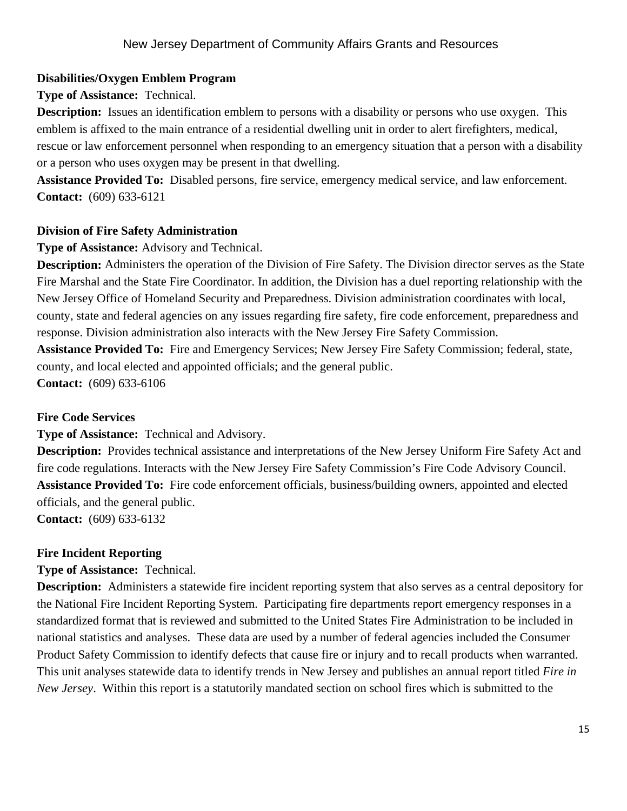# **Disabilities/Oxygen Emblem Program**

### **Type of Assistance:** Technical.

**Description:** Issues an identification emblem to persons with a disability or persons who use oxygen. This emblem is affixed to the main entrance of a residential dwelling unit in order to alert firefighters, medical, rescue or law enforcement personnel when responding to an emergency situation that a person with a disability or a person who uses oxygen may be present in that dwelling.

**Assistance Provided To:** Disabled persons, fire service, emergency medical service, and law enforcement. **Contact:** (609) 633-6121

# **Division of Fire Safety Administration**

#### **Type of Assistance:** Advisory and Technical.

**Description:** Administers the operation of the Division of Fire Safety. The Division director serves as the State Fire Marshal and the State Fire Coordinator. In addition, the Division has a duel reporting relationship with the New Jersey Office of Homeland Security and Preparedness. Division administration coordinates with local, county, state and federal agencies on any issues regarding fire safety, fire code enforcement, preparedness and response. Division administration also interacts with the New Jersey Fire Safety Commission. **Assistance Provided To:** Fire and Emergency Services; New Jersey Fire Safety Commission; federal, state, county, and local elected and appointed officials; and the general public.

**Contact:** (609) 633-6106

#### **Fire Code Services**

**Type of Assistance:** Technical and Advisory.

**Description:** Provides technical assistance and interpretations of the New Jersey Uniform Fire Safety Act and fire code regulations. Interacts with the New Jersey Fire Safety Commission's Fire Code Advisory Council. **Assistance Provided To:** Fire code enforcement officials, business/building owners, appointed and elected officials, and the general public.

**Contact:** (609) 633-6132

#### **Fire Incident Reporting**

# **Type of Assistance:** Technical.

**Description:** Administers a statewide fire incident reporting system that also serves as a central depository for the National Fire Incident Reporting System. Participating fire departments report emergency responses in a standardized format that is reviewed and submitted to the United States Fire Administration to be included in national statistics and analyses. These data are used by a number of federal agencies included the Consumer Product Safety Commission to identify defects that cause fire or injury and to recall products when warranted. This unit analyses statewide data to identify trends in New Jersey and publishes an annual report titled *Fire in New Jersey*. Within this report is a statutorily mandated section on school fires which is submitted to the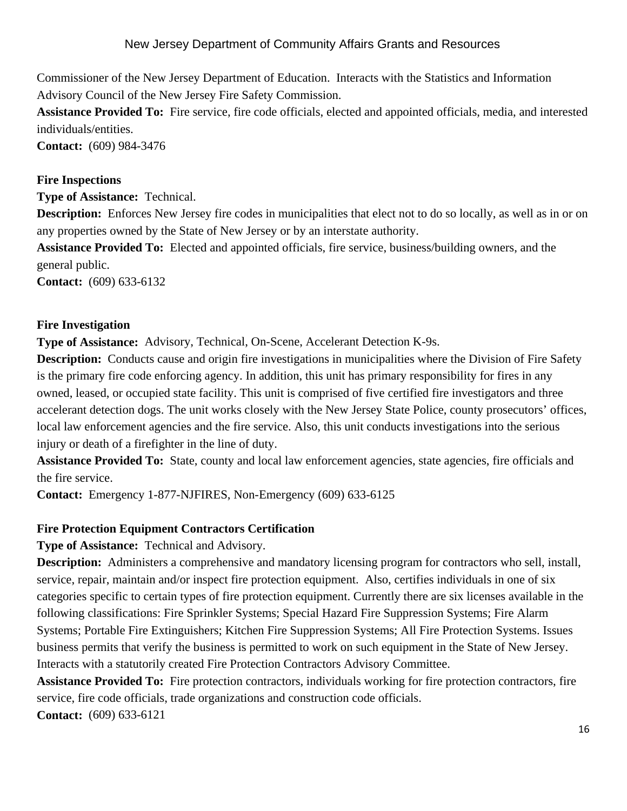Commissioner of the New Jersey Department of Education. Interacts with the Statistics and Information Advisory Council of the New Jersey Fire Safety Commission.

**Assistance Provided To:** Fire service, fire code officials, elected and appointed officials, media, and interested individuals/entities.

**Contact:** (609) 984-3476

#### **Fire Inspections**

**Type of Assistance:** Technical.

**Description:** Enforces New Jersey fire codes in municipalities that elect not to do so locally, as well as in or on any properties owned by the State of New Jersey or by an interstate authority.

**Assistance Provided To:** Elected and appointed officials, fire service, business/building owners, and the general public.

**Contact:** (609) 633-6132

#### **Fire Investigation**

**Type of Assistance:** Advisory, Technical, On-Scene, Accelerant Detection K-9s.

**Description:** Conducts cause and origin fire investigations in municipalities where the Division of Fire Safety is the primary fire code enforcing agency. In addition, this unit has primary responsibility for fires in any owned, leased, or occupied state facility. This unit is comprised of five certified fire investigators and three accelerant detection dogs. The unit works closely with the New Jersey State Police, county prosecutors' offices, local law enforcement agencies and the fire service. Also, this unit conducts investigations into the serious injury or death of a firefighter in the line of duty.

**Assistance Provided To:** State, county and local law enforcement agencies, state agencies, fire officials and the fire service.

**Contact:** Emergency 1-877-NJFIRES, Non-Emergency (609) 633-6125

#### **Fire Protection Equipment Contractors Certification**

**Type of Assistance:** Technical and Advisory.

**Description:** Administers a comprehensive and mandatory licensing program for contractors who sell, install, service, repair, maintain and/or inspect fire protection equipment. Also, certifies individuals in one of six categories specific to certain types of fire protection equipment. Currently there are six licenses available in the following classifications: Fire Sprinkler Systems; Special Hazard Fire Suppression Systems; Fire Alarm Systems; Portable Fire Extinguishers; Kitchen Fire Suppression Systems; All Fire Protection Systems. Issues business permits that verify the business is permitted to work on such equipment in the State of New Jersey. Interacts with a statutorily created Fire Protection Contractors Advisory Committee.

**Assistance Provided To:** Fire protection contractors, individuals working for fire protection contractors, fire service, fire code officials, trade organizations and construction code officials. **Contact:** (609) 633-6121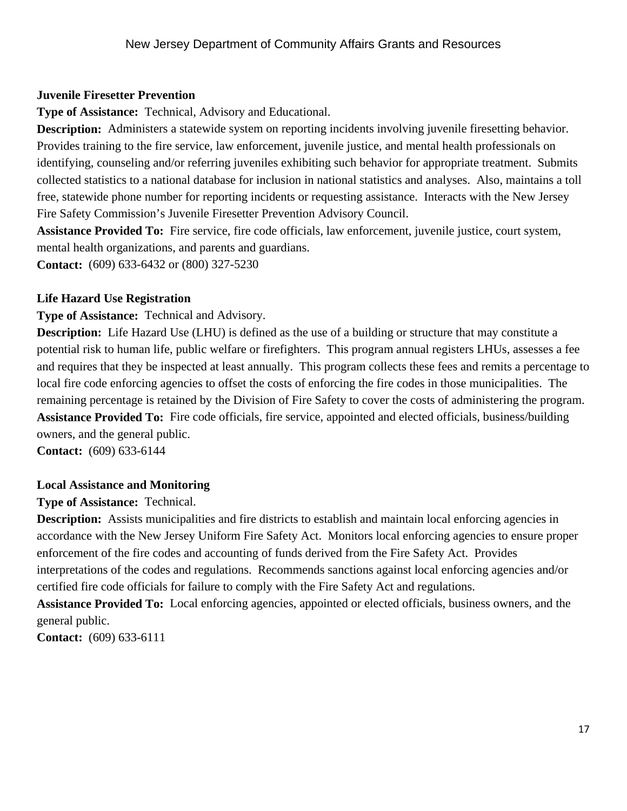# **Juvenile Firesetter Prevention**

**Type of Assistance:** Technical, Advisory and Educational.

**Description:** Administers a statewide system on reporting incidents involving juvenile firesetting behavior. Provides training to the fire service, law enforcement, juvenile justice, and mental health professionals on identifying, counseling and/or referring juveniles exhibiting such behavior for appropriate treatment. Submits collected statistics to a national database for inclusion in national statistics and analyses. Also, maintains a toll free, statewide phone number for reporting incidents or requesting assistance. Interacts with the New Jersey Fire Safety Commission's Juvenile Firesetter Prevention Advisory Council.

**Assistance Provided To:** Fire service, fire code officials, law enforcement, juvenile justice, court system, mental health organizations, and parents and guardians.

**Contact:** (609) 633-6432 or (800) 327-5230

# **Life Hazard Use Registration**

**Type of Assistance:** Technical and Advisory.

**Description:** Life Hazard Use (LHU) is defined as the use of a building or structure that may constitute a potential risk to human life, public welfare or firefighters. This program annual registers LHUs, assesses a fee and requires that they be inspected at least annually. This program collects these fees and remits a percentage to local fire code enforcing agencies to offset the costs of enforcing the fire codes in those municipalities. The remaining percentage is retained by the Division of Fire Safety to cover the costs of administering the program. **Assistance Provided To:** Fire code officials, fire service, appointed and elected officials, business/building owners, and the general public.

**Contact:** (609) 633-6144

# **Local Assistance and Monitoring**

**Type of Assistance:** Technical.

**Description:** Assists municipalities and fire districts to establish and maintain local enforcing agencies in accordance with the New Jersey Uniform Fire Safety Act. Monitors local enforcing agencies to ensure proper enforcement of the fire codes and accounting of funds derived from the Fire Safety Act. Provides interpretations of the codes and regulations. Recommends sanctions against local enforcing agencies and/or certified fire code officials for failure to comply with the Fire Safety Act and regulations.

**Assistance Provided To:** Local enforcing agencies, appointed or elected officials, business owners, and the general public.

**Contact:** (609) 633-6111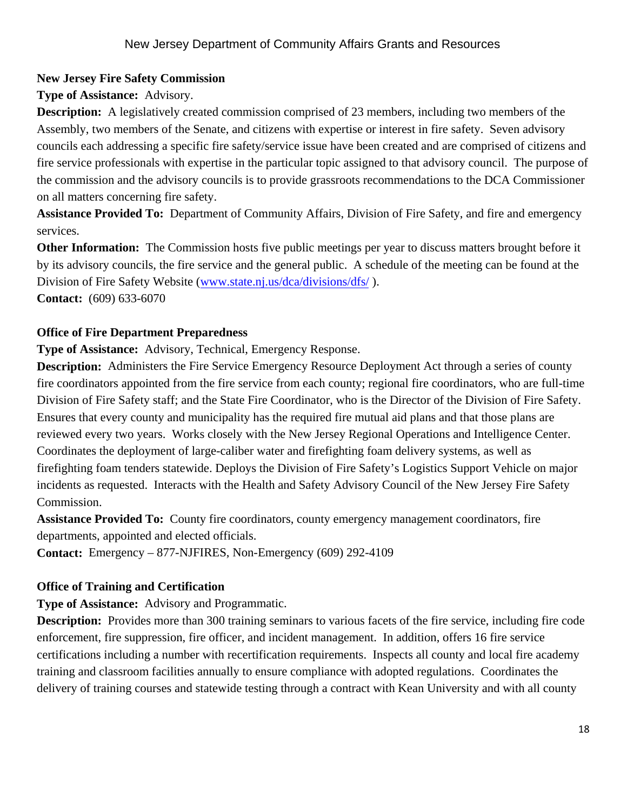# **New Jersey Fire Safety Commission**

**Type of Assistance:** Advisory.

**Description:** A legislatively created commission comprised of 23 members, including two members of the Assembly, two members of the Senate, and citizens with expertise or interest in fire safety. Seven advisory councils each addressing a specific fire safety/service issue have been created and are comprised of citizens and fire service professionals with expertise in the particular topic assigned to that advisory council. The purpose of the commission and the advisory councils is to provide grassroots recommendations to the DCA Commissioner on all matters concerning fire safety.

**Assistance Provided To:** Department of Community Affairs, Division of Fire Safety, and fire and emergency services.

**Other Information:** The Commission hosts five public meetings per year to discuss matters brought before it by its advisory councils, the fire service and the general public. A schedule of the meeting can be found at the Division of Fire Safety Website (www.state.nj.us/dca/divisions/dfs/ ).

**Contact:** (609) 633-6070

# **Office of Fire Department Preparedness**

**Type of Assistance:** Advisory, Technical, Emergency Response.

**Description:** Administers the Fire Service Emergency Resource Deployment Act through a series of county fire coordinators appointed from the fire service from each county; regional fire coordinators, who are full-time Division of Fire Safety staff; and the State Fire Coordinator, who is the Director of the Division of Fire Safety. Ensures that every county and municipality has the required fire mutual aid plans and that those plans are reviewed every two years. Works closely with the New Jersey Regional Operations and Intelligence Center. Coordinates the deployment of large-caliber water and firefighting foam delivery systems, as well as firefighting foam tenders statewide. Deploys the Division of Fire Safety's Logistics Support Vehicle on major incidents as requested. Interacts with the Health and Safety Advisory Council of the New Jersey Fire Safety Commission.

**Assistance Provided To:** County fire coordinators, county emergency management coordinators, fire departments, appointed and elected officials.

**Contact:** Emergency – 877-NJFIRES, Non-Emergency (609) 292-4109

# **Office of Training and Certification**

**Type of Assistance:** Advisory and Programmatic.

**Description:** Provides more than 300 training seminars to various facets of the fire service, including fire code enforcement, fire suppression, fire officer, and incident management. In addition, offers 16 fire service certifications including a number with recertification requirements. Inspects all county and local fire academy training and classroom facilities annually to ensure compliance with adopted regulations. Coordinates the delivery of training courses and statewide testing through a contract with Kean University and with all county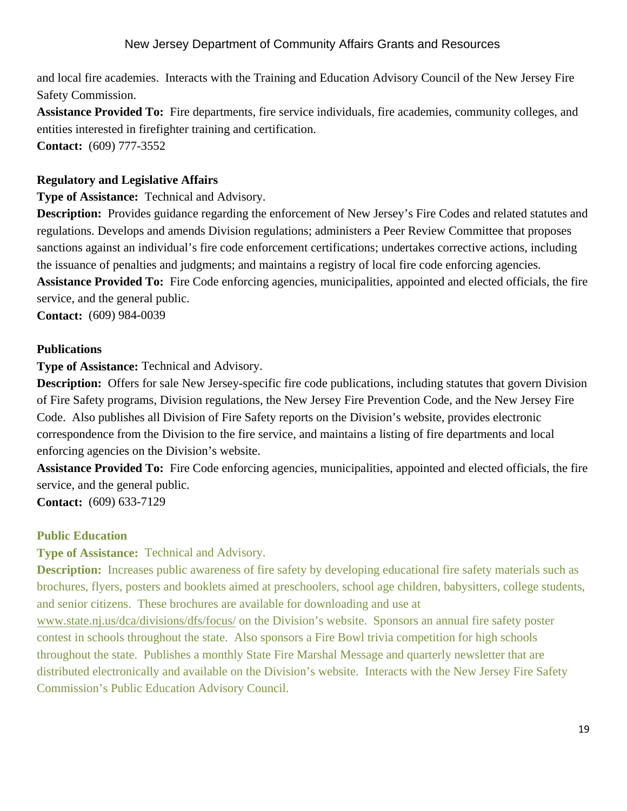and local fire academies. Interacts with the Training and Education Advisory Council of the New Jersey Fire Safety Commission.

**Assistance Provided To:** Fire departments, fire service individuals, fire academies, community colleges, and entities interested in firefighter training and certification. **Contact:** (609) 777-3552

#### **Regulatory and Legislative Affairs**

**Type of Assistance:** Technical and Advisory.

**Description:** Provides guidance regarding the enforcement of New Jersey's Fire Codes and related statutes and regulations. Develops and amends Division regulations; administers a Peer Review Committee that proposes sanctions against an individual's fire code enforcement certifications; undertakes corrective actions, including the issuance of penalties and judgments; and maintains a registry of local fire code enforcing agencies.

**Assistance Provided To:** Fire Code enforcing agencies, municipalities, appointed and elected officials, the fire service, and the general public.

**Contact:** (609) 984-0039

#### **Publications**

**Type of Assistance:** Technical and Advisory.

**Description:** Offers for sale New Jersey-specific fire code publications, including statutes that govern Division of Fire Safety programs, Division regulations, the New Jersey Fire Prevention Code, and the New Jersey Fire Code. Also publishes all Division of Fire Safety reports on the Division's website, provides electronic correspondence from the Division to the fire service, and maintains a listing of fire departments and local enforcing agencies on the Division's website.

**Assistance Provided To:** Fire Code enforcing agencies, municipalities, appointed and elected officials, the fire service, and the general public.

**Contact:** (609) 633-7129

#### **Public Education**

**Type of Assistance:** Technical and Advisory.

**Description:** Increases public awareness of fire safety by developing educational fire safety materials such as brochures, flyers, posters and booklets aimed at preschoolers, school age children, babysitters, college students, and senior citizens. These brochures are available for downloading and use at

www.state.nj.us/dca/divisions/dfs/focus/ on the Division's website. Sponsors an annual fire safety poster contest in schools throughout the state. Also sponsors a Fire Bowl trivia competition for high schools throughout the state. Publishes a monthly State Fire Marshal Message and quarterly newsletter that are distributed electronically and available on the Division's website. Interacts with the New Jersey Fire Safety Commission's Public Education Advisory Council.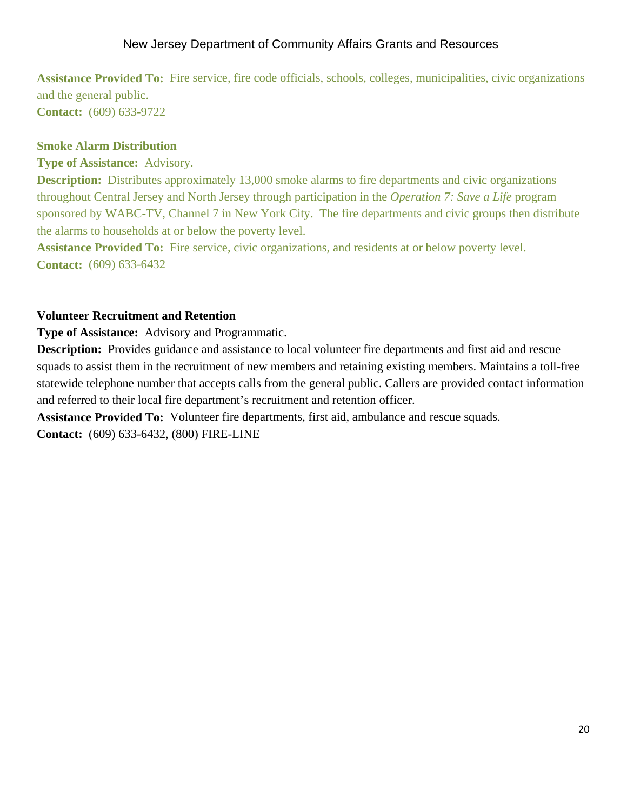**Assistance Provided To:** Fire service, fire code officials, schools, colleges, municipalities, civic organizations and the general public. **Contact:** (609) 633-9722

#### **Smoke Alarm Distribution**

**Type of Assistance:** Advisory.

**Description:** Distributes approximately 13,000 smoke alarms to fire departments and civic organizations throughout Central Jersey and North Jersey through participation in the *Operation 7: Save a Life* program sponsored by WABC-TV, Channel 7 in New York City. The fire departments and civic groups then distribute the alarms to households at or below the poverty level.

**Assistance Provided To:** Fire service, civic organizations, and residents at or below poverty level. **Contact:** (609) 633-6432

# **Volunteer Recruitment and Retention**

**Type of Assistance:** Advisory and Programmatic.

**Description:** Provides guidance and assistance to local volunteer fire departments and first aid and rescue squads to assist them in the recruitment of new members and retaining existing members. Maintains a toll-free statewide telephone number that accepts calls from the general public. Callers are provided contact information and referred to their local fire department's recruitment and retention officer.

**Assistance Provided To:** Volunteer fire departments, first aid, ambulance and rescue squads. **Contact:** (609) 633-6432, (800) FIRE-LINE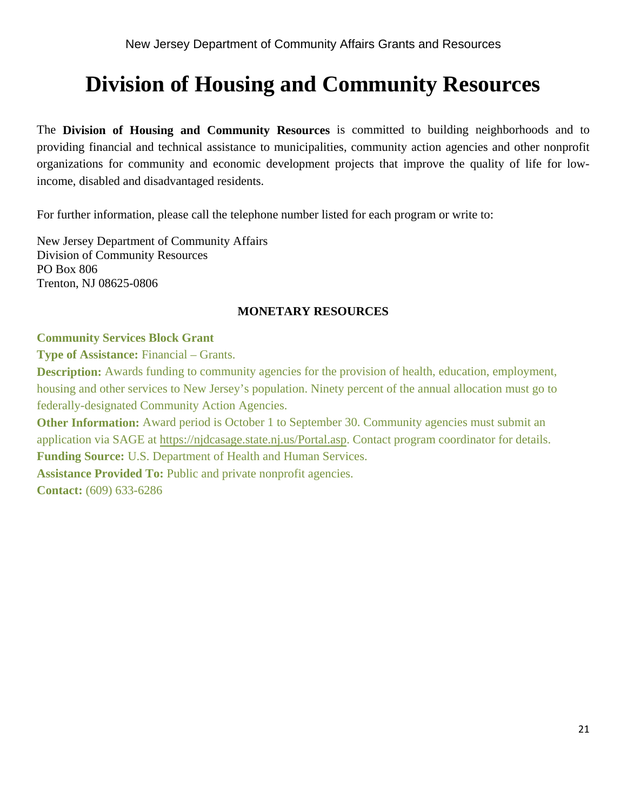# **Division of Housing and Community Resources**

The **Division of Housing and Community Resources** is committed to building neighborhoods and to providing financial and technical assistance to municipalities, community action agencies and other nonprofit organizations for community and economic development projects that improve the quality of life for lowincome, disabled and disadvantaged residents.

For further information, please call the telephone number listed for each program or write to:

New Jersey Department of Community Affairs Division of Community Resources PO Box 806 Trenton, NJ 08625-0806

#### **MONETARY RESOURCES**

#### **Community Services Block Grant**

**Type of Assistance:** Financial – Grants.

**Description:** Awards funding to community agencies for the provision of health, education, employment, housing and other services to New Jersey's population. Ninety percent of the annual allocation must go to federally-designated Community Action Agencies.

**Other Information:** Award period is October 1 to September 30. Community agencies must submit an application via SAGE at https://njdcasage.state.nj.us/Portal.asp. Contact program coordinator for details. **Funding Source:** U.S. Department of Health and Human Services.

**Assistance Provided To:** Public and private nonprofit agencies.

**Contact:** (609) 633-6286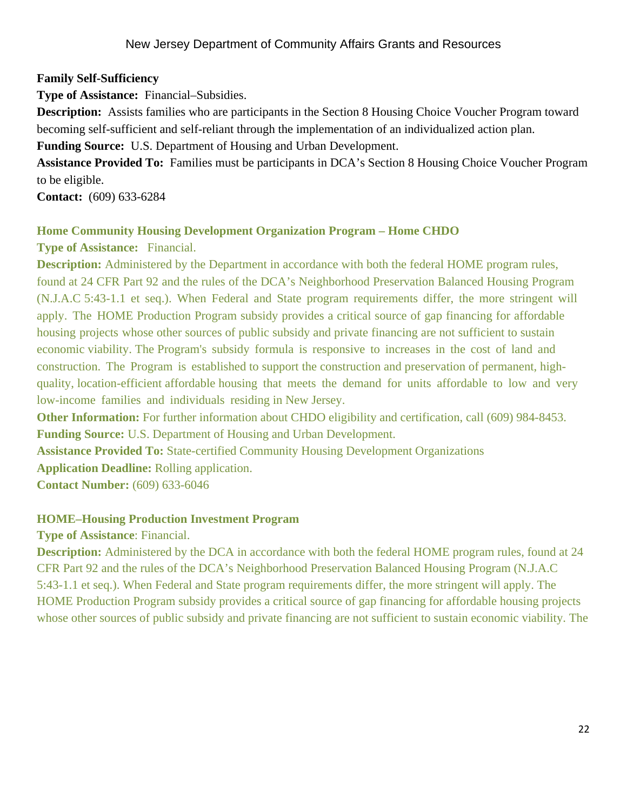# **Family Self-Sufficiency**

**Type of Assistance:** Financial–Subsidies.

**Description:** Assists families who are participants in the Section 8 Housing Choice Voucher Program toward becoming self-sufficient and self-reliant through the implementation of an individualized action plan.

**Funding Source:** U.S. Department of Housing and Urban Development.

**Assistance Provided To:** Families must be participants in DCA's Section 8 Housing Choice Voucher Program to be eligible.

**Contact:** (609) 633-6284

# **Home Community Housing Development Organization Program – Home CHDO**

**Type of Assistance:** Financial.

**Description:** Administered by the Department in accordance with both the federal HOME program rules, found at 24 CFR Part 92 and the rules of the DCA's Neighborhood Preservation Balanced Housing Program (N.J.A.C 5:43-1.1 et seq.). When Federal and State program requirements differ, the more stringent will apply. The HOME Production Program subsidy provides a critical source of gap financing for affordable housing projects whose other sources of public subsidy and private financing are not sufficient to sustain economic viability. The Program's subsidy formula is responsive to increases in the cost of land and construction. The Program is established to support the construction and preservation of permanent, highquality, location-efficient affordable housing that meets the demand for units affordable to low and very low-income families and individuals residing in New Jersey.

**Other Information:** For further information about CHDO eligibility and certification, call (609) 984-8453. **Funding Source:** U.S. Department of Housing and Urban Development.

**Assistance Provided To:** State-certified Community Housing Development Organizations

**Application Deadline:** Rolling application.

**Contact Number:** (609) 633-6046

#### **HOME–Housing Production Investment Program**

**Type of Assistance**: Financial.

**Description:** Administered by the DCA in accordance with both the federal HOME program rules, found at 24 CFR Part 92 and the rules of the DCA's Neighborhood Preservation Balanced Housing Program (N.J.A.C 5:43-1.1 et seq.). When Federal and State program requirements differ, the more stringent will apply. The HOME Production Program subsidy provides a critical source of gap financing for affordable housing projects whose other sources of public subsidy and private financing are not sufficient to sustain economic viability. The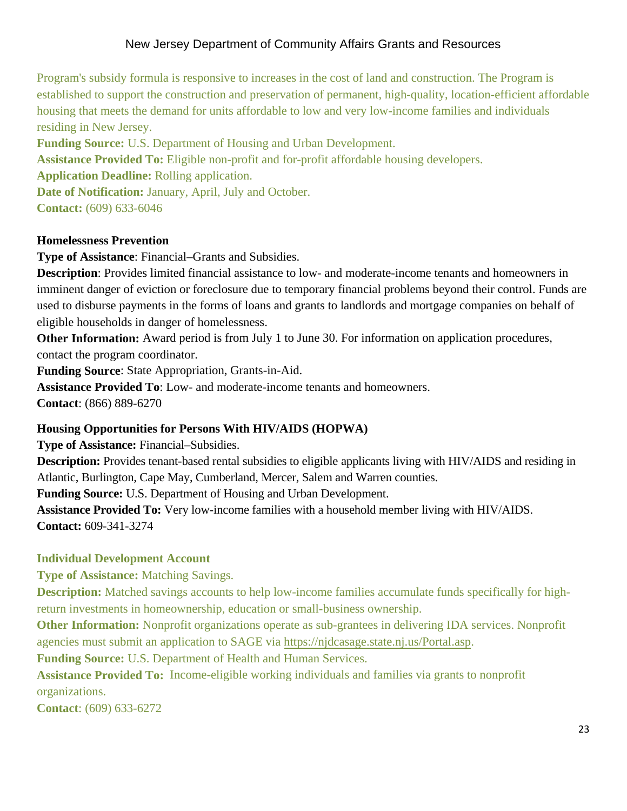Program's subsidy formula is responsive to increases in the cost of land and construction. The Program is established to support the construction and preservation of permanent, high-quality, location-efficient affordable housing that meets the demand for units affordable to low and very low-income families and individuals residing in New Jersey.

**Funding Source:** U.S. Department of Housing and Urban Development. **Assistance Provided To:** Eligible non-profit and for-profit affordable housing developers. **Application Deadline:** Rolling application. **Date of Notification:** January, April, July and October. **Contact:** (609) 633-6046

#### **Homelessness Prevention**

**Type of Assistance**: Financial–Grants and Subsidies.

**Description**: Provides limited financial assistance to low- and moderate-income tenants and homeowners in imminent danger of eviction or foreclosure due to temporary financial problems beyond their control. Funds are used to disburse payments in the forms of loans and grants to landlords and mortgage companies on behalf of eligible households in danger of homelessness.

**Other Information:** Award period is from July 1 to June 30. For information on application procedures, contact the program coordinator.

**Funding Source**: State Appropriation, Grants-in-Aid.

**Assistance Provided To**: Low- and moderate-income tenants and homeowners. **Contact**: (866) 889-6270

#### **Housing Opportunities for Persons With HIV/AIDS (HOPWA)**

**Type of Assistance:** Financial–Subsidies.

**Description:** Provides tenant-based rental subsidies to eligible applicants living with HIV/AIDS and residing in Atlantic, Burlington, Cape May, Cumberland, Mercer, Salem and Warren counties.

**Funding Source:** U.S. Department of Housing and Urban Development.

**Assistance Provided To:** Very low-income families with a household member living with HIV/AIDS. **Contact:** 609-341-3274

#### **Individual Development Account**

**Type of Assistance:** Matching Savings.

**Description:** Matched savings accounts to help low-income families accumulate funds specifically for highreturn investments in homeownership, education or small-business ownership.

**Other Information:** Nonprofit organizations operate as sub-grantees in delivering IDA services. Nonprofit agencies must submit an application to SAGE via https://njdcasage.state.nj.us/Portal.asp.

**Funding Source:** U.S. Department of Health and Human Services.

**Assistance Provided To:** Income-eligible working individuals and families via grants to nonprofit

organizations.

**Contact**: (609) 633-6272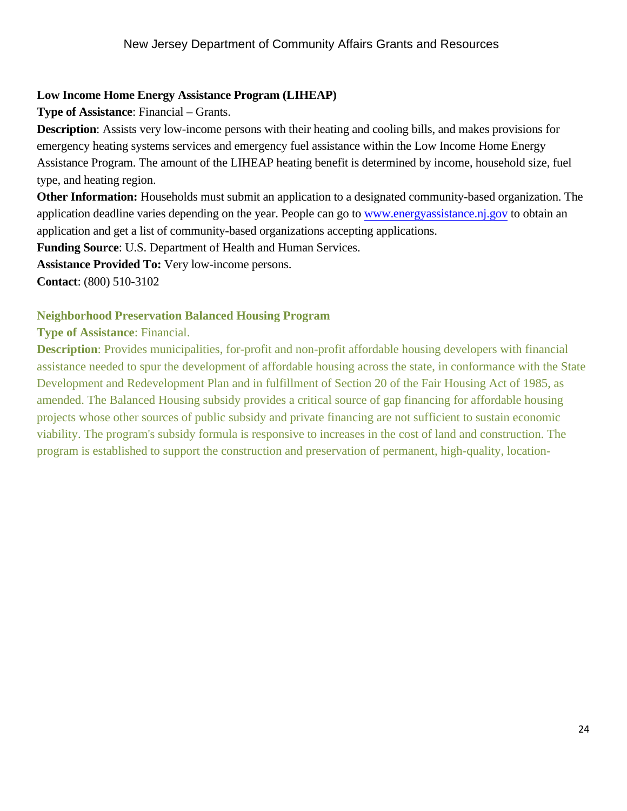#### **Low Income Home Energy Assistance Program (LIHEAP)**

**Type of Assistance**: Financial – Grants.

**Description**: Assists very low-income persons with their heating and cooling bills, and makes provisions for emergency heating systems services and emergency fuel assistance within the Low Income Home Energy Assistance Program. The amount of the LIHEAP heating benefit is determined by income, household size, fuel type, and heating region.

**Other Information:** Households must submit an application to a designated community-based organization. The application deadline varies depending on the year. People can go to www.energyassistance.nj.gov to obtain an application and get a list of community-based organizations accepting applications.

**Funding Source**: U.S. Department of Health and Human Services.

**Assistance Provided To:** Very low-income persons.

**Contact**: (800) 510-3102

#### **Neighborhood Preservation Balanced Housing Program**

**Type of Assistance**: Financial.

**Description**: Provides municipalities, for-profit and non-profit affordable housing developers with financial assistance needed to spur the development of affordable housing across the state, in conformance with the State Development and Redevelopment Plan and in fulfillment of Section 20 of the Fair Housing Act of 1985, as amended. The Balanced Housing subsidy provides a critical source of gap financing for affordable housing projects whose other sources of public subsidy and private financing are not sufficient to sustain economic viability. The program's subsidy formula is responsive to increases in the cost of land and construction. The program is established to support the construction and preservation of permanent, high-quality, location-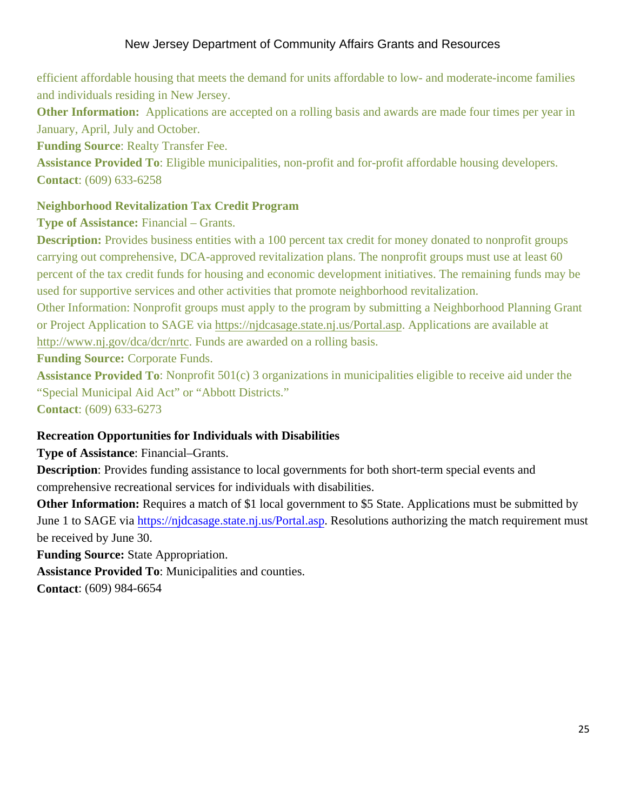efficient affordable housing that meets the demand for units affordable to low- and moderate-income families and individuals residing in New Jersey.

**Other Information:** Applications are accepted on a rolling basis and awards are made four times per year in January, April, July and October.

**Funding Source**: Realty Transfer Fee.

**Assistance Provided To**: Eligible municipalities, non-profit and for-profit affordable housing developers. **Contact**: (609) 633-6258

# **Neighborhood Revitalization Tax Credit Program**

**Type of Assistance:** Financial – Grants.

**Description:** Provides business entities with a 100 percent tax credit for money donated to nonprofit groups carrying out comprehensive, DCA-approved revitalization plans. The nonprofit groups must use at least 60 percent of the tax credit funds for housing and economic development initiatives. The remaining funds may be used for supportive services and other activities that promote neighborhood revitalization.

Other Information: Nonprofit groups must apply to the program by submitting a Neighborhood Planning Grant or Project Application to SAGE via https://njdcasage.state.nj.us/Portal.asp. Applications are available at http://www.nj.gov/dca/dcr/nrtc. Funds are awarded on a rolling basis.

**Funding Source:** Corporate Funds.

**Assistance Provided To**: Nonprofit 501(c) 3 organizations in municipalities eligible to receive aid under the "Special Municipal Aid Act" or "Abbott Districts."

**Contact**: (609) 633-6273

# **Recreation Opportunities for Individuals with Disabilities**

**Type of Assistance**: Financial–Grants.

**Description**: Provides funding assistance to local governments for both short-term special events and comprehensive recreational services for individuals with disabilities.

**Other Information:** Requires a match of \$1 local government to \$5 State. Applications must be submitted by June 1 to SAGE via https://njdcasage.state.nj.us/Portal.asp. Resolutions authorizing the match requirement must be received by June 30.

**Funding Source:** State Appropriation.

**Assistance Provided To**: Municipalities and counties.

**Contact**: (609) 984-6654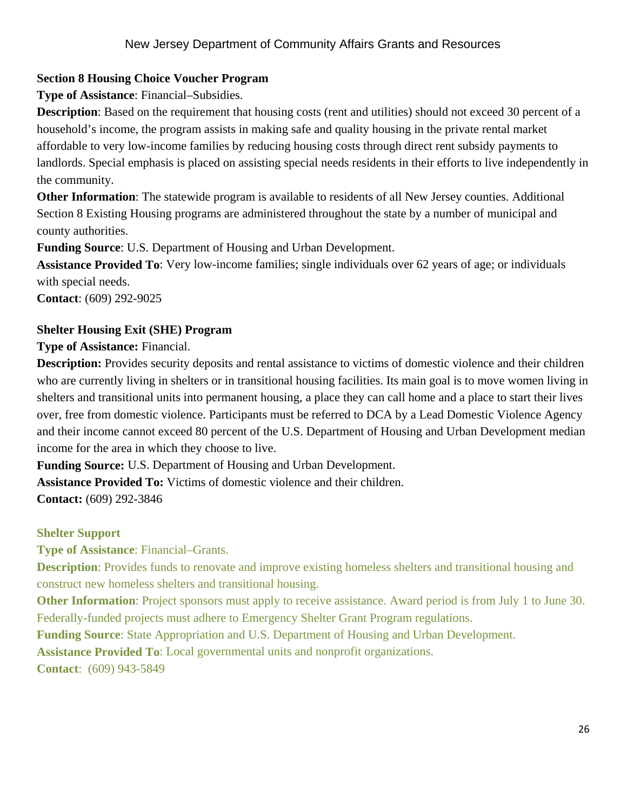# **Section 8 Housing Choice Voucher Program**

**Type of Assistance**: Financial–Subsidies.

**Description**: Based on the requirement that housing costs (rent and utilities) should not exceed 30 percent of a household's income, the program assists in making safe and quality housing in the private rental market affordable to very low-income families by reducing housing costs through direct rent subsidy payments to landlords. Special emphasis is placed on assisting special needs residents in their efforts to live independently in the community.

**Other Information**: The statewide program is available to residents of all New Jersey counties. Additional Section 8 Existing Housing programs are administered throughout the state by a number of municipal and county authorities.

**Funding Source**: U.S. Department of Housing and Urban Development.

**Assistance Provided To**: Very low-income families; single individuals over 62 years of age; or individuals with special needs.

**Contact**: (609) 292-9025

# **Shelter Housing Exit (SHE) Program**

**Type of Assistance:** Financial.

**Description:** Provides security deposits and rental assistance to victims of domestic violence and their children who are currently living in shelters or in transitional housing facilities. Its main goal is to move women living in shelters and transitional units into permanent housing, a place they can call home and a place to start their lives over, free from domestic violence. Participants must be referred to DCA by a Lead Domestic Violence Agency and their income cannot exceed 80 percent of the U.S. Department of Housing and Urban Development median income for the area in which they choose to live.

**Funding Source:** U.S. Department of Housing and Urban Development.

**Assistance Provided To:** Victims of domestic violence and their children.

**Contact:** (609) 292-3846

# **Shelter Support**

**Type of Assistance**: Financial–Grants.

**Description**: Provides funds to renovate and improve existing homeless shelters and transitional housing and construct new homeless shelters and transitional housing.

**Other Information**: Project sponsors must apply to receive assistance. Award period is from July 1 to June 30. Federally-funded projects must adhere to Emergency Shelter Grant Program regulations.

**Funding Source**: State Appropriation and U.S. Department of Housing and Urban Development.

**Assistance Provided To**: Local governmental units and nonprofit organizations.

**Contact**: (609) 943-5849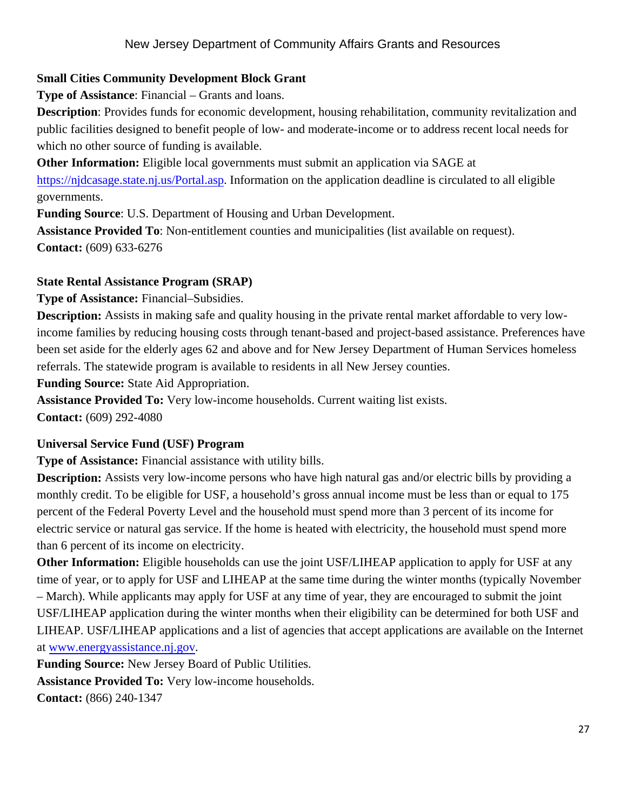# **Small Cities Community Development Block Grant**

**Type of Assistance**: Financial – Grants and loans.

**Description**: Provides funds for economic development, housing rehabilitation, community revitalization and public facilities designed to benefit people of low- and moderate-income or to address recent local needs for which no other source of funding is available.

**Other Information:** Eligible local governments must submit an application via SAGE at https://njdcasage.state.nj.us/Portal.asp. Information on the application deadline is circulated to all eligible governments.

**Funding Source**: U.S. Department of Housing and Urban Development.

**Assistance Provided To**: Non-entitlement counties and municipalities (list available on request). **Contact:** (609) 633-6276

# **State Rental Assistance Program (SRAP)**

**Type of Assistance:** Financial–Subsidies.

**Description:** Assists in making safe and quality housing in the private rental market affordable to very lowincome families by reducing housing costs through tenant-based and project-based assistance. Preferences have been set aside for the elderly ages 62 and above and for New Jersey Department of Human Services homeless referrals. The statewide program is available to residents in all New Jersey counties.

**Funding Source:** State Aid Appropriation.

**Assistance Provided To:** Very low-income households. Current waiting list exists.

**Contact:** (609) 292-4080

# **Universal Service Fund (USF) Program**

**Type of Assistance:** Financial assistance with utility bills.

**Description:** Assists very low-income persons who have high natural gas and/or electric bills by providing a monthly credit. To be eligible for USF, a household's gross annual income must be less than or equal to 175 percent of the Federal Poverty Level and the household must spend more than 3 percent of its income for electric service or natural gas service. If the home is heated with electricity, the household must spend more than 6 percent of its income on electricity.

**Other Information:** Eligible households can use the joint USF/LIHEAP application to apply for USF at any time of year, or to apply for USF and LIHEAP at the same time during the winter months (typically November – March). While applicants may apply for USF at any time of year, they are encouraged to submit the joint USF/LIHEAP application during the winter months when their eligibility can be determined for both USF and LIHEAP. USF/LIHEAP applications and a list of agencies that accept applications are available on the Internet at www.energyassistance.nj.gov.

**Funding Source:** New Jersey Board of Public Utilities. **Assistance Provided To:** Very low-income households. **Contact:** (866) 240-1347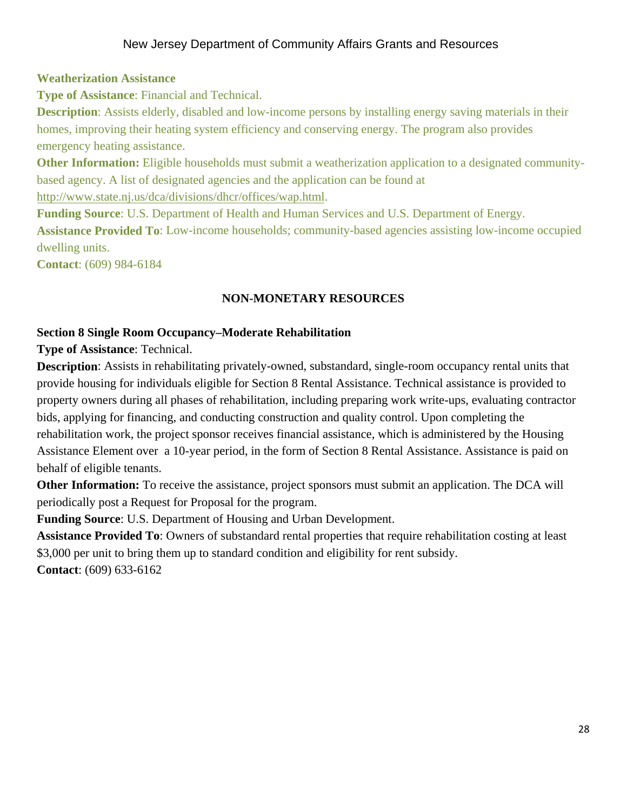#### **Weatherization Assistance**

**Type of Assistance**: Financial and Technical.

**Description**: Assists elderly, disabled and low-income persons by installing energy saving materials in their homes, improving their heating system efficiency and conserving energy. The program also provides emergency heating assistance.

**Other Information:** Eligible households must submit a weatherization application to a designated communitybased agency. A list of designated agencies and the application can be found at http://www.state.nj.us/dca/divisions/dhcr/offices/wap.html.

**Funding Source**: U.S. Department of Health and Human Services and U.S. Department of Energy. **Assistance Provided To**: Low-income households; community-based agencies assisting low-income occupied dwelling units.

**Contact**: (609) 984-6184

#### **NON-MONETARY RESOURCES**

#### **Section 8 Single Room Occupancy–Moderate Rehabilitation**

**Type of Assistance**: Technical.

**Description**: Assists in rehabilitating privately-owned, substandard, single-room occupancy rental units that provide housing for individuals eligible for Section 8 Rental Assistance. Technical assistance is provided to property owners during all phases of rehabilitation, including preparing work write-ups, evaluating contractor bids, applying for financing, and conducting construction and quality control. Upon completing the rehabilitation work, the project sponsor receives financial assistance, which is administered by the Housing Assistance Element over a 10-year period, in the form of Section 8 Rental Assistance. Assistance is paid on behalf of eligible tenants.

**Other Information:** To receive the assistance, project sponsors must submit an application. The DCA will periodically post a Request for Proposal for the program.

**Funding Source**: U.S. Department of Housing and Urban Development.

**Assistance Provided To**: Owners of substandard rental properties that require rehabilitation costing at least \$3,000 per unit to bring them up to standard condition and eligibility for rent subsidy.

**Contact**: (609) 633-6162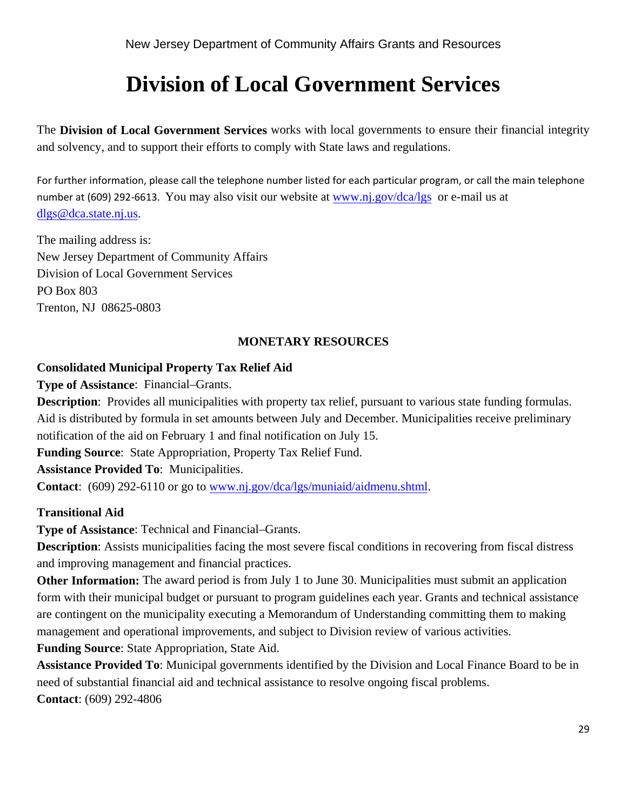# **Division of Local Government Services**

The **Division of Local Government Services** works with local governments to ensure their financial integrity and solvency, and to support their efforts to comply with State laws and regulations.

For further information, please call the telephone number listed for each particular program, or call the main telephone number at (609) 292-6613. You may also visit our website at www.nj.gov/dca/lgs or e-mail us at dlgs@dca.state.nj.us.

The mailing address is: New Jersey Department of Community Affairs Division of Local Government Services PO Box 803 Trenton, NJ 08625-0803

# **MONETARY RESOURCES**

#### **Consolidated Municipal Property Tax Relief Aid**

**Type of Assistance**: Financial–Grants.

**Description**: Provides all municipalities with property tax relief, pursuant to various state funding formulas. Aid is distributed by formula in set amounts between July and December. Municipalities receive preliminary notification of the aid on February 1 and final notification on July 15.

**Funding Source**: State Appropriation, Property Tax Relief Fund.

**Assistance Provided To**: Municipalities.

**Contact**: (609) 292-6110 or go to www.nj.gov/dca/lgs/muniaid/aidmenu.shtml.

#### **Transitional Aid**

**Type of Assistance**: Technical and Financial–Grants.

**Description**: Assists municipalities facing the most severe fiscal conditions in recovering from fiscal distress and improving management and financial practices.

**Other Information:** The award period is from July 1 to June 30. Municipalities must submit an application form with their municipal budget or pursuant to program guidelines each year. Grants and technical assistance are contingent on the municipality executing a Memorandum of Understanding committing them to making management and operational improvements, and subject to Division review of various activities.

**Funding Source**: State Appropriation, State Aid.

**Assistance Provided To**: Municipal governments identified by the Division and Local Finance Board to be in need of substantial financial aid and technical assistance to resolve ongoing fiscal problems. **Contact**: (609) 292-4806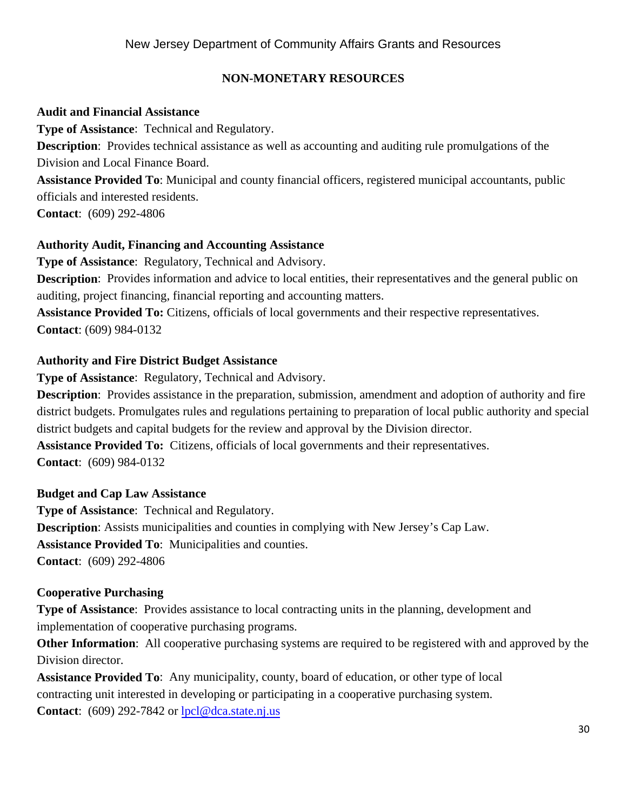# **NON-MONETARY RESOURCES**

### **Audit and Financial Assistance**

**Type of Assistance**: Technical and Regulatory.

**Description**: Provides technical assistance as well as accounting and auditing rule promulgations of the Division and Local Finance Board.

**Assistance Provided To**: Municipal and county financial officers, registered municipal accountants, public officials and interested residents.

**Contact**: (609) 292-4806

# **Authority Audit, Financing and Accounting Assistance**

**Type of Assistance**: Regulatory, Technical and Advisory.

**Description**: Provides information and advice to local entities, their representatives and the general public on auditing, project financing, financial reporting and accounting matters.

**Assistance Provided To:** Citizens, officials of local governments and their respective representatives. **Contact**: (609) 984-0132

# **Authority and Fire District Budget Assistance**

**Type of Assistance**: Regulatory, Technical and Advisory.

**Description**: Provides assistance in the preparation, submission, amendment and adoption of authority and fire district budgets. Promulgates rules and regulations pertaining to preparation of local public authority and special district budgets and capital budgets for the review and approval by the Division director.

**Assistance Provided To:** Citizens, officials of local governments and their representatives. **Contact**: (609) 984-0132

#### **Budget and Cap Law Assistance**

**Type of Assistance**: Technical and Regulatory. **Description**: Assists municipalities and counties in complying with New Jersey's Cap Law. **Assistance Provided To**: Municipalities and counties. **Contact**: (609) 292-4806

#### **Cooperative Purchasing**

**Type of Assistance:** Provides assistance to local contracting units in the planning, development and implementation of cooperative purchasing programs.

**Other Information**: All cooperative purchasing systems are required to be registered with and approved by the Division director.

**Assistance Provided To**: Any municipality, county, board of education, or other type of local contracting unit interested in developing or participating in a cooperative purchasing system. **Contact:** (609) 292-7842 or lpcl@dca.state.nj.us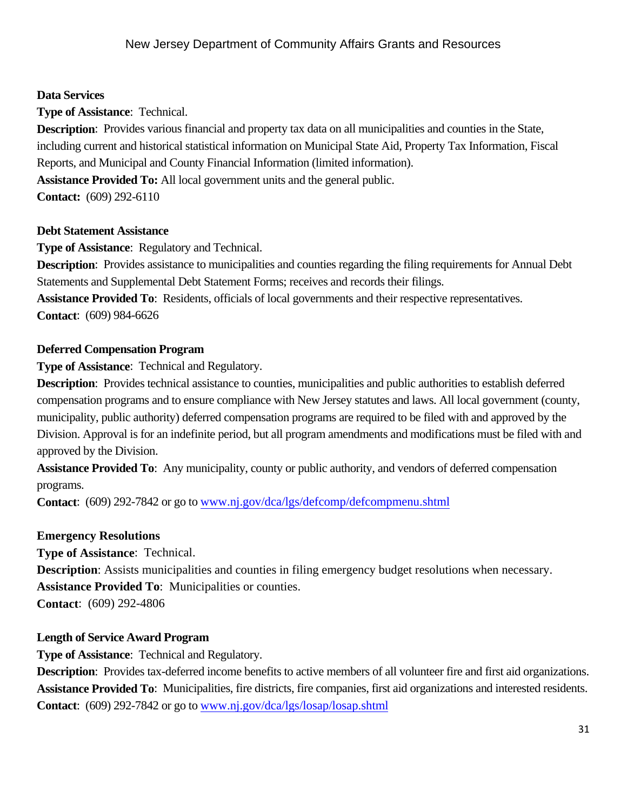# **Data Services**

**Type of Assistance**: Technical.

**Description**: Provides various financial and property tax data on all municipalities and counties in the State, including current and historical statistical information on Municipal State Aid, Property Tax Information, Fiscal Reports, and Municipal and County Financial Information (limited information).

**Assistance Provided To:** All local government units and the general public.

**Contact:** (609) 292-6110

# **Debt Statement Assistance**

**Type of Assistance**: Regulatory and Technical.

**Description**: Provides assistance to municipalities and counties regarding the filing requirements for Annual Debt Statements and Supplemental Debt Statement Forms; receives and records their filings.

**Assistance Provided To**: Residents, officials of local governments and their respective representatives. **Contact**: (609) 984-6626

# **Deferred Compensation Program**

**Type of Assistance**: Technical and Regulatory.

**Description**: Provides technical assistance to counties, municipalities and public authorities to establish deferred compensation programs and to ensure compliance with New Jersey statutes and laws. All local government (county, municipality, public authority) deferred compensation programs are required to be filed with and approved by the Division. Approval is for an indefinite period, but all program amendments and modifications must be filed with and approved by the Division.

**Assistance Provided To**: Any municipality, county or public authority, and vendors of deferred compensation programs.

**Contact**: (609) 292-7842 or go to www.nj.gov/dca/lgs/defcomp/defcompmenu.shtml

# **Emergency Resolutions**

**Type of Assistance**: Technical. **Description:** Assists municipalities and counties in filing emergency budget resolutions when necessary. **Assistance Provided To**: Municipalities or counties. **Contact**: (609) 292-4806

# **Length of Service Award Program**

**Type of Assistance**: Technical and Regulatory.

**Description**: Provides tax-deferred income benefits to active members of all volunteer fire and first aid organizations. **Assistance Provided To**: Municipalities, fire districts, fire companies, first aid organizations and interested residents. **Contact**: (609) 292-7842 or go to www.nj.gov/dca/lgs/losap/losap.shtml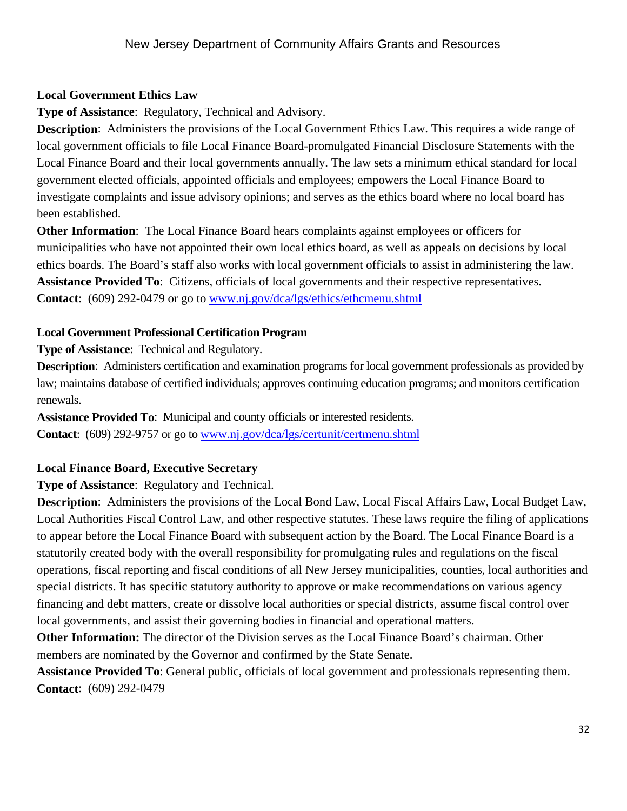# **Local Government Ethics Law**

**Type of Assistance**: Regulatory, Technical and Advisory.

**Description:** Administers the provisions of the Local Government Ethics Law. This requires a wide range of local government officials to file Local Finance Board-promulgated Financial Disclosure Statements with the Local Finance Board and their local governments annually. The law sets a minimum ethical standard for local government elected officials, appointed officials and employees; empowers the Local Finance Board to investigate complaints and issue advisory opinions; and serves as the ethics board where no local board has been established.

**Other Information**: The Local Finance Board hears complaints against employees or officers for municipalities who have not appointed their own local ethics board, as well as appeals on decisions by local ethics boards. The Board's staff also works with local government officials to assist in administering the law. **Assistance Provided To**: Citizens, officials of local governments and their respective representatives. **Contact**: (609) 292-0479 or go to www.nj.gov/dca/lgs/ethics/ethcmenu.shtml

# **Local Government Professional Certification Program**

**Type of Assistance**: Technical and Regulatory.

**Description**: Administers certification and examination programs for local government professionals as provided by law; maintains database of certified individuals; approves continuing education programs; and monitors certification renewals.

**Assistance Provided To**: Municipal and county officials or interested residents. **Contact**: (609) 292-9757 or go to www.nj.gov/dca/lgs/certunit/certmenu.shtml

# **Local Finance Board, Executive Secretary**

**Type of Assistance**: Regulatory and Technical.

**Description**: Administers the provisions of the Local Bond Law, Local Fiscal Affairs Law, Local Budget Law, Local Authorities Fiscal Control Law, and other respective statutes. These laws require the filing of applications to appear before the Local Finance Board with subsequent action by the Board. The Local Finance Board is a statutorily created body with the overall responsibility for promulgating rules and regulations on the fiscal operations, fiscal reporting and fiscal conditions of all New Jersey municipalities, counties, local authorities and special districts. It has specific statutory authority to approve or make recommendations on various agency financing and debt matters, create or dissolve local authorities or special districts, assume fiscal control over local governments, and assist their governing bodies in financial and operational matters.

**Other Information:** The director of the Division serves as the Local Finance Board's chairman. Other members are nominated by the Governor and confirmed by the State Senate.

**Assistance Provided To**: General public, officials of local government and professionals representing them. **Contact**: (609) 292-0479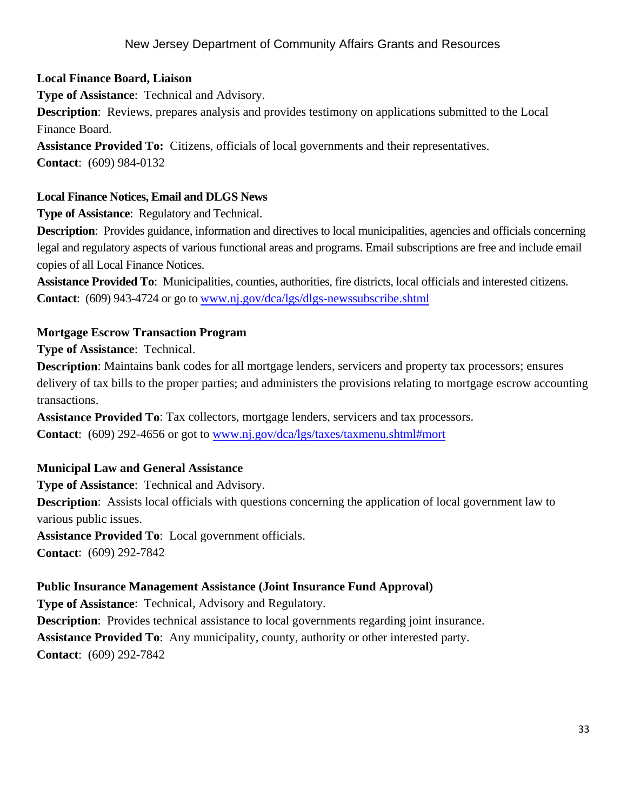#### **Local Finance Board, Liaison**

**Type of Assistance**: Technical and Advisory.

**Description**: Reviews, prepares analysis and provides testimony on applications submitted to the Local Finance Board.

**Assistance Provided To:** Citizens, officials of local governments and their representatives. **Contact**: (609) 984-0132

#### **Local Finance Notices, Email and DLGS News**

**Type of Assistance**: Regulatory and Technical.

**Description**: Provides guidance, information and directives to local municipalities, agencies and officials concerning legal and regulatory aspects of various functional areas and programs. Email subscriptions are free and include email copies of all Local Finance Notices.

**Assistance Provided To**: Municipalities, counties, authorities, fire districts, local officials and interested citizens. **Contact**: (609) 943-4724 or go to www.nj.gov/dca/lgs/dlgs-newssubscribe.shtml

#### **Mortgage Escrow Transaction Program**

**Type of Assistance**: Technical.

**Description**: Maintains bank codes for all mortgage lenders, servicers and property tax processors; ensures delivery of tax bills to the proper parties; and administers the provisions relating to mortgage escrow accounting transactions.

**Assistance Provided To**: Tax collectors, mortgage lenders, servicers and tax processors. **Contact**: (609) 292-4656 or got to www.nj.gov/dca/lgs/taxes/taxmenu.shtml#mort

#### **Municipal Law and General Assistance**

**Type of Assistance**: Technical and Advisory.

**Description**: Assists local officials with questions concerning the application of local government law to various public issues.

**Assistance Provided To**: Local government officials.

**Contact**: (609) 292-7842

#### **Public Insurance Management Assistance (Joint Insurance Fund Approval)**

**Type of Assistance**: Technical, Advisory and Regulatory. **Description**: Provides technical assistance to local governments regarding joint insurance. **Assistance Provided To**: Any municipality, county, authority or other interested party. **Contact**: (609) 292-7842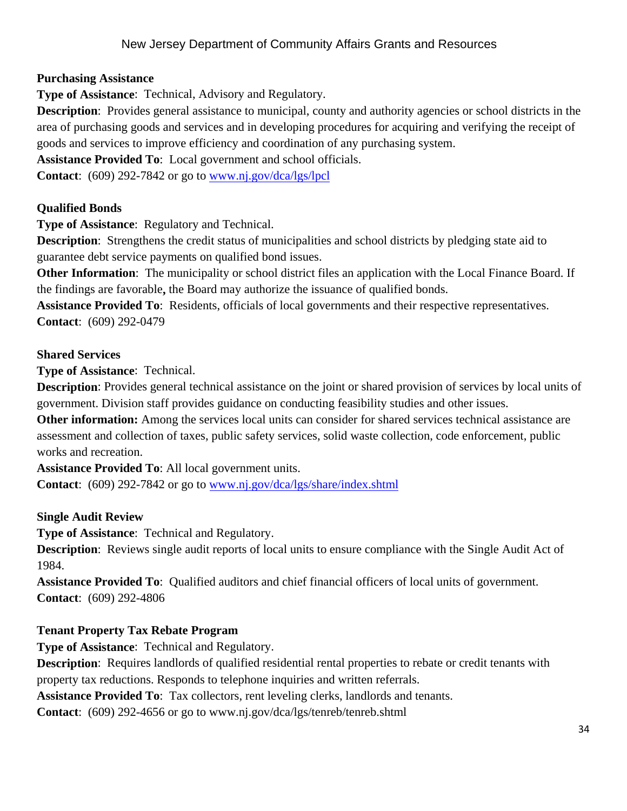### **Purchasing Assistance**

**Type of Assistance**: Technical, Advisory and Regulatory.

**Description**: Provides general assistance to municipal, county and authority agencies or school districts in the area of purchasing goods and services and in developing procedures for acquiring and verifying the receipt of goods and services to improve efficiency and coordination of any purchasing system.

**Assistance Provided To**: Local government and school officials.

**Contact**: (609) 292-7842 or go to www.nj.gov/dca/lgs/lpcl

# **Qualified Bonds**

**Type of Assistance**: Regulatory and Technical.

**Description**: Strengthens the credit status of municipalities and school districts by pledging state aid to guarantee debt service payments on qualified bond issues.

**Other Information**: The municipality or school district files an application with the Local Finance Board. If the findings are favorable**,** the Board may authorize the issuance of qualified bonds.

**Assistance Provided To**: Residents, officials of local governments and their respective representatives. **Contact**: (609) 292-0479

#### **Shared Services**

**Type of Assistance**: Technical.

**Description**: Provides general technical assistance on the joint or shared provision of services by local units of government. Division staff provides guidance on conducting feasibility studies and other issues.

**Other information:** Among the services local units can consider for shared services technical assistance are assessment and collection of taxes, public safety services, solid waste collection, code enforcement, public works and recreation.

**Assistance Provided To**: All local government units.

**Contact**: (609) 292-7842 or go to www.nj.gov/dca/lgs/share/index.shtml

#### **Single Audit Review**

**Type of Assistance**: Technical and Regulatory.

**Description**: Reviews single audit reports of local units to ensure compliance with the Single Audit Act of 1984.

**Assistance Provided To**: Qualified auditors and chief financial officers of local units of government. **Contact**: (609) 292-4806

# **Tenant Property Tax Rebate Program**

**Type of Assistance**: Technical and Regulatory.

**Description:** Requires landlords of qualified residential rental properties to rebate or credit tenants with property tax reductions. Responds to telephone inquiries and written referrals.

**Assistance Provided To**: Tax collectors, rent leveling clerks, landlords and tenants.

**Contact**: (609) 292-4656 or go to www.nj.gov/dca/lgs/tenreb/tenreb.shtml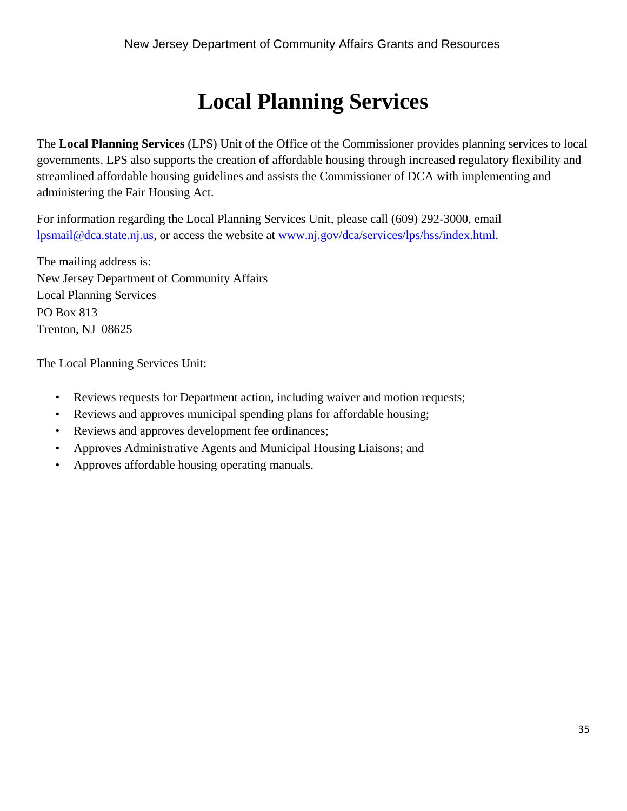# **Local Planning Services**

The **Local Planning Services** (LPS) Unit of the Office of the Commissioner provides planning services to local governments. LPS also supports the creation of affordable housing through increased regulatory flexibility and streamlined affordable housing guidelines and assists the Commissioner of DCA with implementing and administering the Fair Housing Act.

For information regarding the Local Planning Services Unit, please call (609) 292-3000, email lpsmail@dca.state.nj.us, or access the website at www.nj.gov/dca/services/lps/hss/index.html.

The mailing address is: New Jersey Department of Community Affairs Local Planning Services PO Box 813 Trenton, NJ 08625

The Local Planning Services Unit:

- Reviews requests for Department action, including waiver and motion requests;
- Reviews and approves municipal spending plans for affordable housing;
- Reviews and approves development fee ordinances;
- Approves Administrative Agents and Municipal Housing Liaisons; and
- Approves affordable housing operating manuals.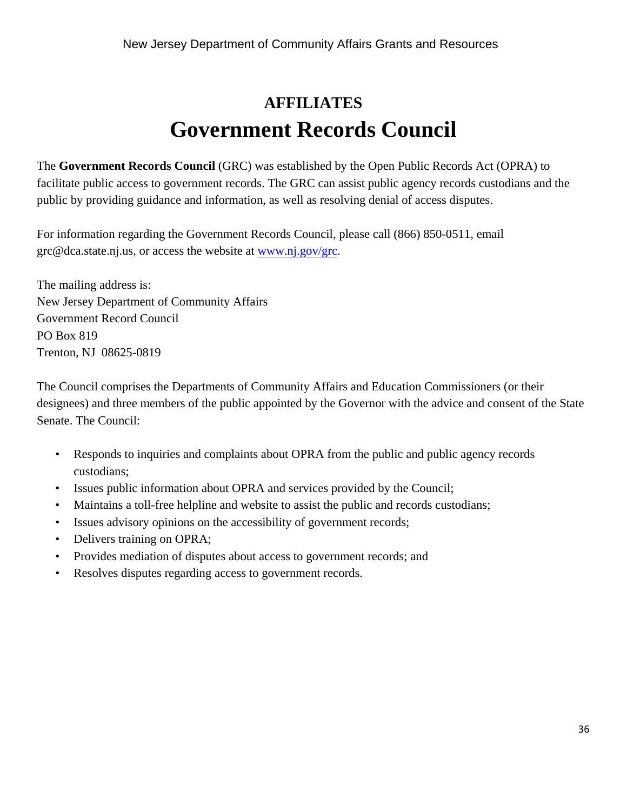# **AFFILIATES Government Records Council**

The **Government Records Council** (GRC) was established by the Open Public Records Act (OPRA) to facilitate public access to government records. The GRC can assist public agency records custodians and the public by providing guidance and information, as well as resolving denial of access disputes.

For information regarding the Government Records Council, please call (866) 850-0511, email grc@dca.state.nj.us, or access the website at www.nj.gov/grc.

The mailing address is: New Jersey Department of Community Affairs Government Record Council PO Box 819 Trenton, NJ 08625-0819

The Council comprises the Departments of Community Affairs and Education Commissioners (or their designees) and three members of the public appointed by the Governor with the advice and consent of the State Senate. The Council:

- Responds to inquiries and complaints about OPRA from the public and public agency records custodians;
- Issues public information about OPRA and services provided by the Council;
- Maintains a toll-free helpline and website to assist the public and records custodians;
- Issues advisory opinions on the accessibility of government records;
- Delivers training on OPRA;
- Provides mediation of disputes about access to government records; and
- Resolves disputes regarding access to government records.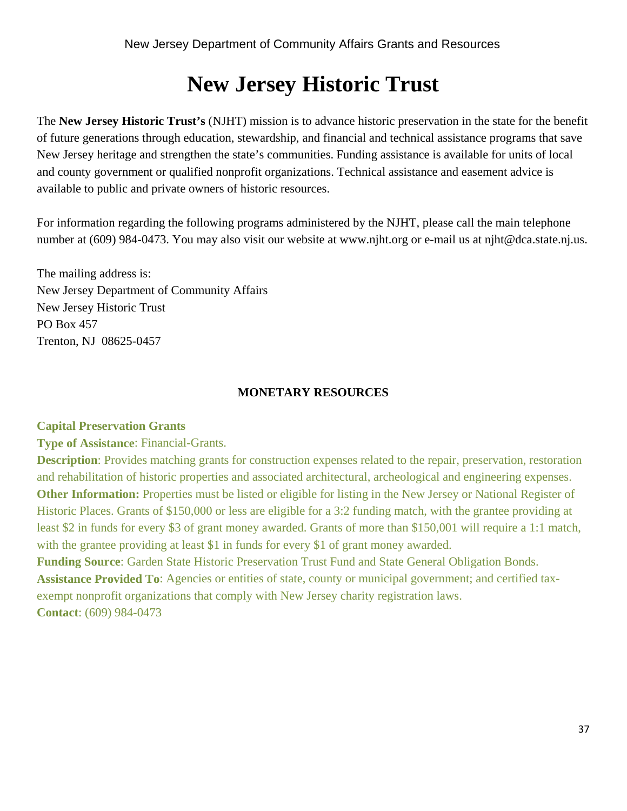# **New Jersey Historic Trust**

The **New Jersey Historic Trust's** (NJHT) mission is to advance historic preservation in the state for the benefit of future generations through education, stewardship, and financial and technical assistance programs that save New Jersey heritage and strengthen the state's communities. Funding assistance is available for units of local and county government or qualified nonprofit organizations. Technical assistance and easement advice is available to public and private owners of historic resources.

For information regarding the following programs administered by the NJHT, please call the main telephone number at (609) 984-0473. You may also visit our website at www.njht.org or e-mail us at njht@dca.state.nj.us.

The mailing address is: New Jersey Department of Community Affairs New Jersey Historic Trust PO Box 457 Trenton, NJ 08625-0457

# **MONETARY RESOURCES**

#### **Capital Preservation Grants**

**Type of Assistance**: Financial-Grants.

**Description**: Provides matching grants for construction expenses related to the repair, preservation, restoration and rehabilitation of historic properties and associated architectural, archeological and engineering expenses. **Other Information:** Properties must be listed or eligible for listing in the New Jersey or National Register of Historic Places. Grants of \$150,000 or less are eligible for a 3:2 funding match, with the grantee providing at least \$2 in funds for every \$3 of grant money awarded. Grants of more than \$150,001 will require a 1:1 match, with the grantee providing at least \$1 in funds for every \$1 of grant money awarded.

**Funding Source**: Garden State Historic Preservation Trust Fund and State General Obligation Bonds. **Assistance Provided To**: Agencies or entities of state, county or municipal government; and certified taxexempt nonprofit organizations that comply with New Jersey charity registration laws. **Contact**: (609) 984-0473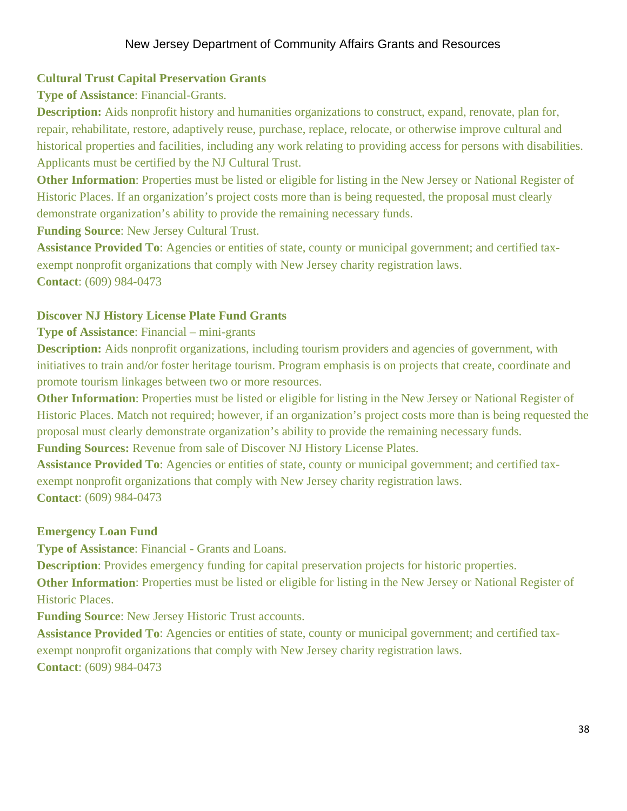# **Cultural Trust Capital Preservation Grants**

**Type of Assistance**: Financial-Grants.

**Description:** Aids nonprofit history and humanities organizations to construct, expand, renovate, plan for, repair, rehabilitate, restore, adaptively reuse, purchase, replace, relocate, or otherwise improve cultural and historical properties and facilities, including any work relating to providing access for persons with disabilities. Applicants must be certified by the NJ Cultural Trust.

**Other Information**: Properties must be listed or eligible for listing in the New Jersey or National Register of Historic Places. If an organization's project costs more than is being requested, the proposal must clearly demonstrate organization's ability to provide the remaining necessary funds.

**Funding Source**: New Jersey Cultural Trust.

**Assistance Provided To**: Agencies or entities of state, county or municipal government; and certified taxexempt nonprofit organizations that comply with New Jersey charity registration laws. **Contact**: (609) 984-0473

# **Discover NJ History License Plate Fund Grants**

# **Type of Assistance**: Financial – mini-grants

**Description:** Aids nonprofit organizations, including tourism providers and agencies of government, with initiatives to train and/or foster heritage tourism. Program emphasis is on projects that create, coordinate and promote tourism linkages between two or more resources.

**Other Information**: Properties must be listed or eligible for listing in the New Jersey or National Register of Historic Places. Match not required; however, if an organization's project costs more than is being requested the proposal must clearly demonstrate organization's ability to provide the remaining necessary funds.

**Funding Sources:** Revenue from sale of Discover NJ History License Plates.

**Assistance Provided To**: Agencies or entities of state, county or municipal government; and certified taxexempt nonprofit organizations that comply with New Jersey charity registration laws. **Contact**: (609) 984-0473

# **Emergency Loan Fund**

**Type of Assistance**: Financial - Grants and Loans.

**Description**: Provides emergency funding for capital preservation projects for historic properties.

**Other Information**: Properties must be listed or eligible for listing in the New Jersey or National Register of Historic Places.

**Funding Source**: New Jersey Historic Trust accounts.

**Assistance Provided To**: Agencies or entities of state, county or municipal government; and certified taxexempt nonprofit organizations that comply with New Jersey charity registration laws. **Contact**: (609) 984-0473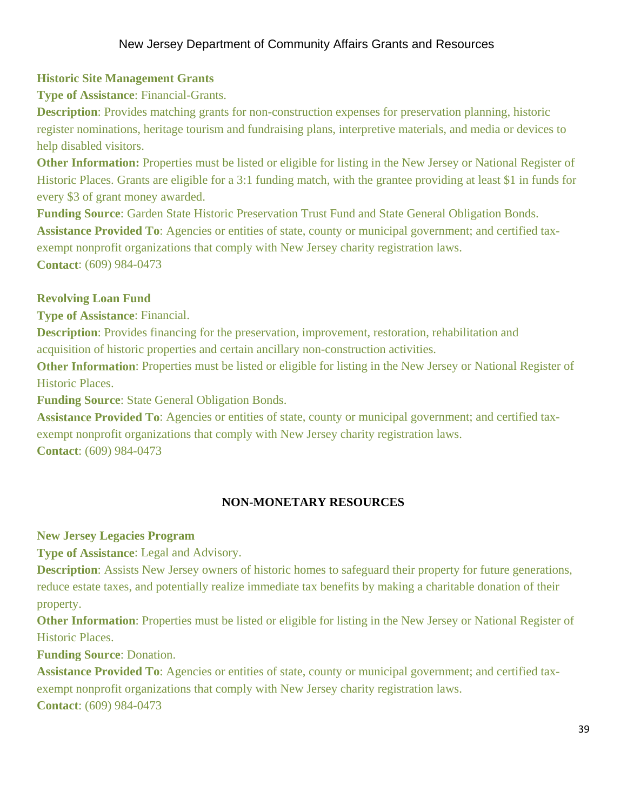# **Historic Site Management Grants**

**Type of Assistance**: Financial-Grants.

**Description**: Provides matching grants for non-construction expenses for preservation planning, historic register nominations, heritage tourism and fundraising plans, interpretive materials, and media or devices to help disabled visitors.

**Other Information:** Properties must be listed or eligible for listing in the New Jersey or National Register of Historic Places. Grants are eligible for a 3:1 funding match, with the grantee providing at least \$1 in funds for every \$3 of grant money awarded.

**Funding Source**: Garden State Historic Preservation Trust Fund and State General Obligation Bonds. **Assistance Provided To**: Agencies or entities of state, county or municipal government; and certified taxexempt nonprofit organizations that comply with New Jersey charity registration laws. **Contact**: (609) 984-0473

# **Revolving Loan Fund**

**Type of Assistance**: Financial.

**Description**: Provides financing for the preservation, improvement, restoration, rehabilitation and acquisition of historic properties and certain ancillary non-construction activities.

**Other Information**: Properties must be listed or eligible for listing in the New Jersey or National Register of Historic Places.

**Funding Source**: State General Obligation Bonds.

**Assistance Provided To**: Agencies or entities of state, county or municipal government; and certified taxexempt nonprofit organizations that comply with New Jersey charity registration laws. **Contact**: (609) 984-0473

#### **NON-MONETARY RESOURCES**

**New Jersey Legacies Program** 

**Type of Assistance**: Legal and Advisory.

**Description**: Assists New Jersey owners of historic homes to safeguard their property for future generations, reduce estate taxes, and potentially realize immediate tax benefits by making a charitable donation of their property.

**Other Information**: Properties must be listed or eligible for listing in the New Jersey or National Register of Historic Places.

**Funding Source**: Donation.

**Assistance Provided To**: Agencies or entities of state, county or municipal government; and certified taxexempt nonprofit organizations that comply with New Jersey charity registration laws. **Contact**: (609) 984-0473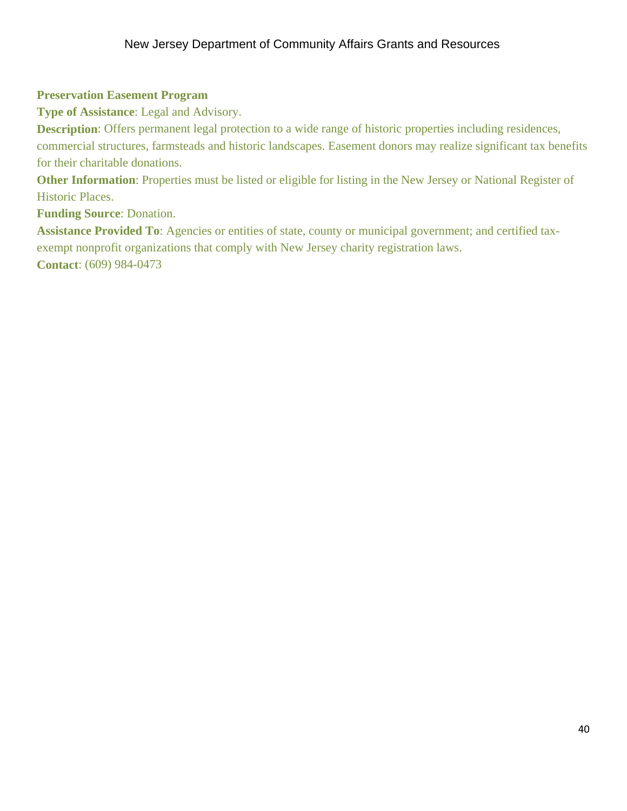# **Preservation Easement Program**

**Type of Assistance**: Legal and Advisory.

**Description**: Offers permanent legal protection to a wide range of historic properties including residences, commercial structures, farmsteads and historic landscapes. Easement donors may realize significant tax benefits for their charitable donations.

**Other Information**: Properties must be listed or eligible for listing in the New Jersey or National Register of Historic Places.

**Funding Source**: Donation.

**Assistance Provided To**: Agencies or entities of state, county or municipal government; and certified taxexempt nonprofit organizations that comply with New Jersey charity registration laws. **Contact**: (609) 984-0473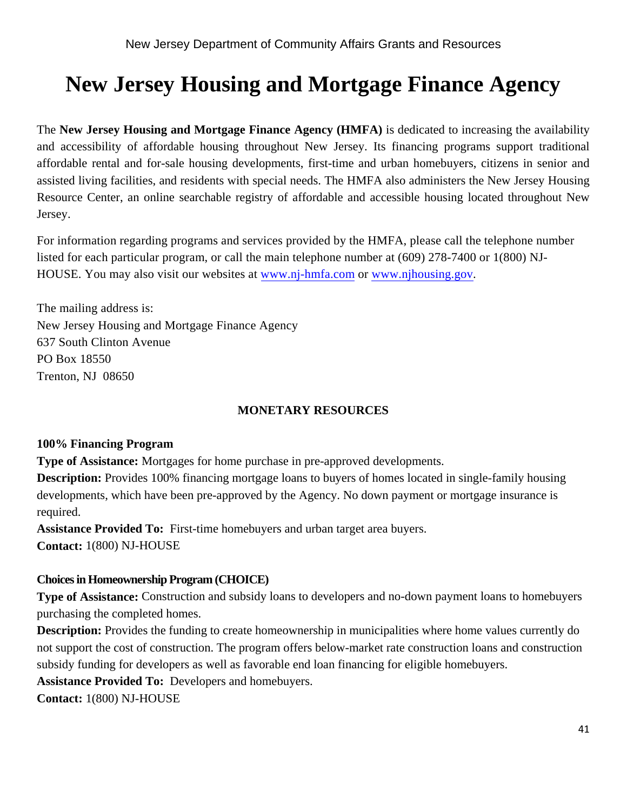# **New Jersey Housing and Mortgage Finance Agency**

The **New Jersey Housing and Mortgage Finance Agency (HMFA)** is dedicated to increasing the availability and accessibility of affordable housing throughout New Jersey. Its financing programs support traditional affordable rental and for-sale housing developments, first-time and urban homebuyers, citizens in senior and assisted living facilities, and residents with special needs. The HMFA also administers the New Jersey Housing Resource Center, an online searchable registry of affordable and accessible housing located throughout New Jersey.

For information regarding programs and services provided by the HMFA, please call the telephone number listed for each particular program, or call the main telephone number at (609) 278-7400 or 1(800) NJ-HOUSE. You may also visit our websites at www.nj-hmfa.com or www.njhousing.gov.

The mailing address is: New Jersey Housing and Mortgage Finance Agency 637 South Clinton Avenue PO Box 18550 Trenton, NJ 08650

# **MONETARY RESOURCES**

# **100% Financing Program**

**Type of Assistance:** Mortgages for home purchase in pre-approved developments.

**Description:** Provides 100% financing mortgage loans to buyers of homes located in single-family housing developments, which have been pre-approved by the Agency. No down payment or mortgage insurance is required.

**Assistance Provided To:** First-time homebuyers and urban target area buyers. **Contact:** 1(800) NJ-HOUSE

# **Choices in Homeownership Program (CHOICE)**

**Type of Assistance:** Construction and subsidy loans to developers and no-down payment loans to homebuyers purchasing the completed homes.

**Description:** Provides the funding to create homeownership in municipalities where home values currently do not support the cost of construction. The program offers below-market rate construction loans and construction subsidy funding for developers as well as favorable end loan financing for eligible homebuyers.

**Assistance Provided To:** Developers and homebuyers.

**Contact:** 1(800) NJ-HOUSE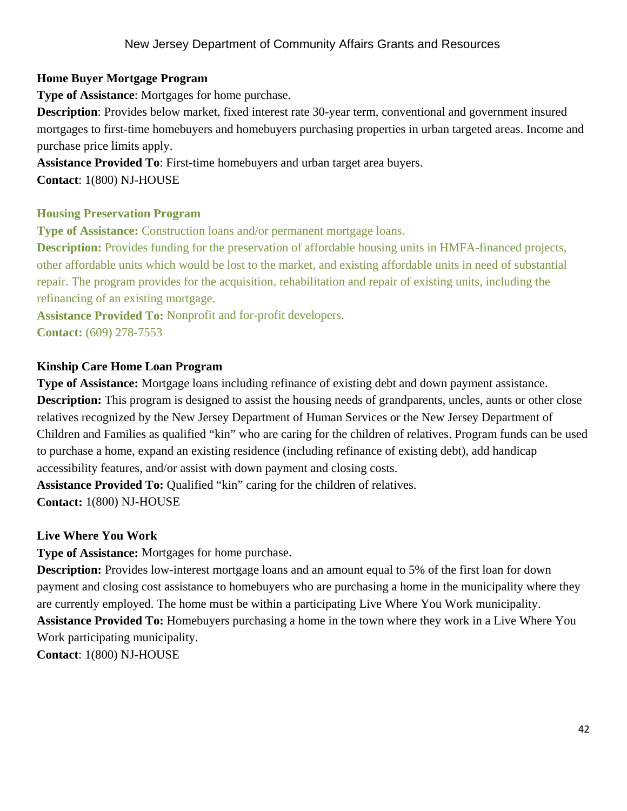# **Home Buyer Mortgage Program**

**Type of Assistance**: Mortgages for home purchase.

**Description**: Provides below market, fixed interest rate 30-year term, conventional and government insured mortgages to first-time homebuyers and homebuyers purchasing properties in urban targeted areas. Income and purchase price limits apply.

**Assistance Provided To**: First-time homebuyers and urban target area buyers. **Contact**: 1(800) NJ-HOUSE

#### **Housing Preservation Program**

**Type of Assistance:** Construction loans and/or permanent mortgage loans.

**Description:** Provides funding for the preservation of affordable housing units in HMFA-financed projects, other affordable units which would be lost to the market, and existing affordable units in need of substantial repair. The program provides for the acquisition, rehabilitation and repair of existing units, including the refinancing of an existing mortgage.

**Assistance Provided To:** Nonprofit and for-profit developers. **Contact:** (609) 278-7553

# **Kinship Care Home Loan Program**

**Type of Assistance:** Mortgage loans including refinance of existing debt and down payment assistance. **Description:** This program is designed to assist the housing needs of grandparents, uncles, aunts or other close relatives recognized by the New Jersey Department of Human Services or the New Jersey Department of Children and Families as qualified "kin" who are caring for the children of relatives. Program funds can be used to purchase a home, expand an existing residence (including refinance of existing debt), add handicap accessibility features, and/or assist with down payment and closing costs.

**Assistance Provided To:** Qualified "kin" caring for the children of relatives. **Contact:** 1(800) NJ-HOUSE

# **Live Where You Work**

**Type of Assistance:** Mortgages for home purchase.

**Description:** Provides low-interest mortgage loans and an amount equal to 5% of the first loan for down payment and closing cost assistance to homebuyers who are purchasing a home in the municipality where they are currently employed. The home must be within a participating Live Where You Work municipality. **Assistance Provided To:** Homebuyers purchasing a home in the town where they work in a Live Where You Work participating municipality. **Contact**: 1(800) NJ-HOUSE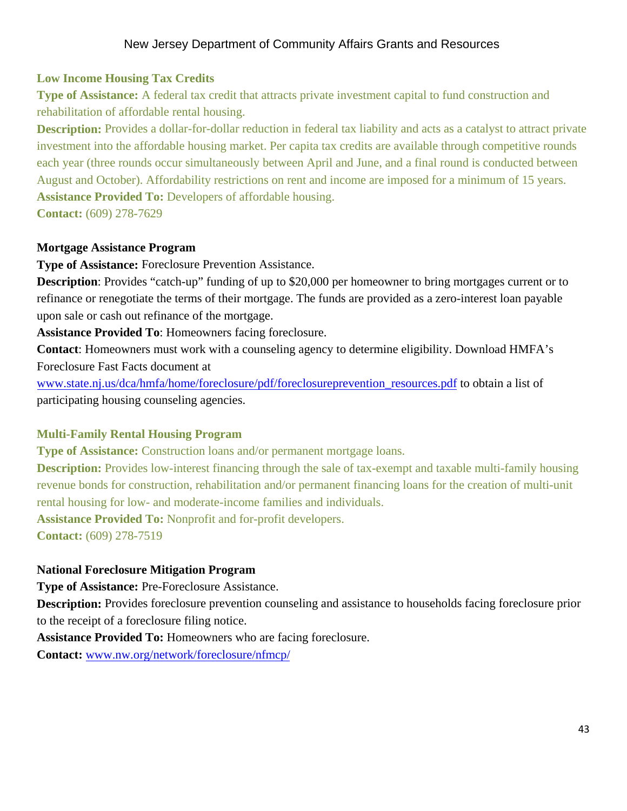#### **Low Income Housing Tax Credits**

**Type of Assistance:** A federal tax credit that attracts private investment capital to fund construction and rehabilitation of affordable rental housing.

**Description:** Provides a dollar-for-dollar reduction in federal tax liability and acts as a catalyst to attract private investment into the affordable housing market. Per capita tax credits are available through competitive rounds each year (three rounds occur simultaneously between April and June, and a final round is conducted between August and October). Affordability restrictions on rent and income are imposed for a minimum of 15 years. **Assistance Provided To:** Developers of affordable housing.

**Contact:** (609) 278-7629

#### **Mortgage Assistance Program**

**Type of Assistance:** Foreclosure Prevention Assistance.

**Description**: Provides "catch-up" funding of up to \$20,000 per homeowner to bring mortgages current or to refinance or renegotiate the terms of their mortgage. The funds are provided as a zero-interest loan payable upon sale or cash out refinance of the mortgage.

**Assistance Provided To**: Homeowners facing foreclosure.

**Contact**: Homeowners must work with a counseling agency to determine eligibility. Download HMFA's Foreclosure Fast Facts document at

www.state.nj.us/dca/hmfa/home/foreclosure/pdf/foreclosureprevention\_resources.pdf to obtain a list of participating housing counseling agencies.

#### **Multi-Family Rental Housing Program**

**Type of Assistance:** Construction loans and/or permanent mortgage loans.

**Description:** Provides low-interest financing through the sale of tax-exempt and taxable multi-family housing revenue bonds for construction, rehabilitation and/or permanent financing loans for the creation of multi-unit rental housing for low- and moderate-income families and individuals.

**Assistance Provided To:** Nonprofit and for-profit developers.

**Contact:** (609) 278-7519

#### **National Foreclosure Mitigation Program**

**Type of Assistance:** Pre-Foreclosure Assistance.

**Description:** Provides foreclosure prevention counseling and assistance to households facing foreclosure prior to the receipt of a foreclosure filing notice.

**Assistance Provided To:** Homeowners who are facing foreclosure.

**Contact:** www.nw.org/network/foreclosure/nfmcp/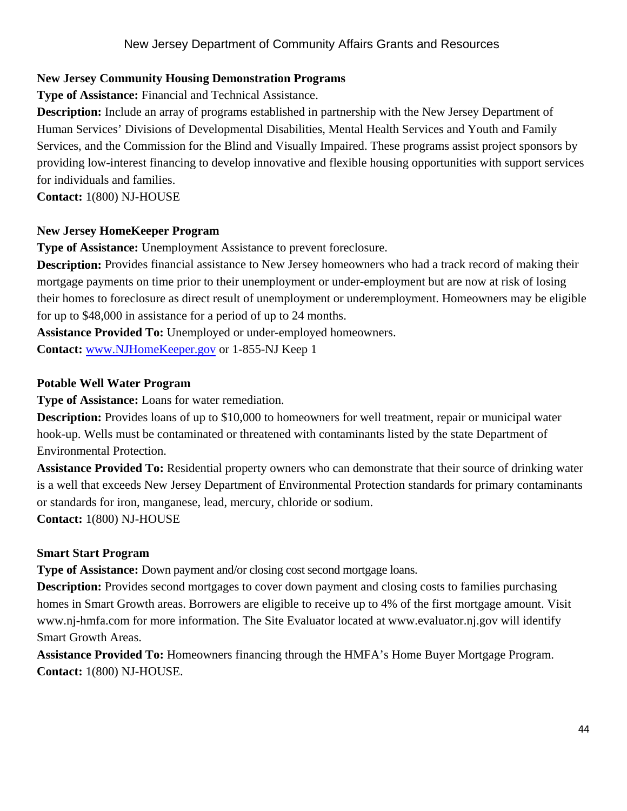# **New Jersey Community Housing Demonstration Programs**

**Type of Assistance:** Financial and Technical Assistance.

**Description:** Include an array of programs established in partnership with the New Jersey Department of Human Services' Divisions of Developmental Disabilities, Mental Health Services and Youth and Family Services, and the Commission for the Blind and Visually Impaired. These programs assist project sponsors by providing low-interest financing to develop innovative and flexible housing opportunities with support services for individuals and families.

**Contact:** 1(800) NJ-HOUSE

# **New Jersey HomeKeeper Program**

**Type of Assistance:** Unemployment Assistance to prevent foreclosure.

**Description:** Provides financial assistance to New Jersey homeowners who had a track record of making their mortgage payments on time prior to their unemployment or under-employment but are now at risk of losing their homes to foreclosure as direct result of unemployment or underemployment. Homeowners may be eligible for up to \$48,000 in assistance for a period of up to 24 months.

**Assistance Provided To:** Unemployed or under-employed homeowners.

**Contact:** www.NJHomeKeeper.gov or 1-855-NJ Keep 1

# **Potable Well Water Program**

**Type of Assistance:** Loans for water remediation.

**Description:** Provides loans of up to \$10,000 to homeowners for well treatment, repair or municipal water hook-up. Wells must be contaminated or threatened with contaminants listed by the state Department of Environmental Protection.

**Assistance Provided To:** Residential property owners who can demonstrate that their source of drinking water is a well that exceeds New Jersey Department of Environmental Protection standards for primary contaminants or standards for iron, manganese, lead, mercury, chloride or sodium.

**Contact:** 1(800) NJ-HOUSE

# **Smart Start Program**

**Type of Assistance:** Down payment and/or closing cost second mortgage loans.

**Description:** Provides second mortgages to cover down payment and closing costs to families purchasing homes in Smart Growth areas. Borrowers are eligible to receive up to 4% of the first mortgage amount. Visit www.nj-hmfa.com for more information. The Site Evaluator located at www.evaluator.nj.gov will identify Smart Growth Areas.

**Assistance Provided To:** Homeowners financing through the HMFA's Home Buyer Mortgage Program. **Contact:** 1(800) NJ-HOUSE.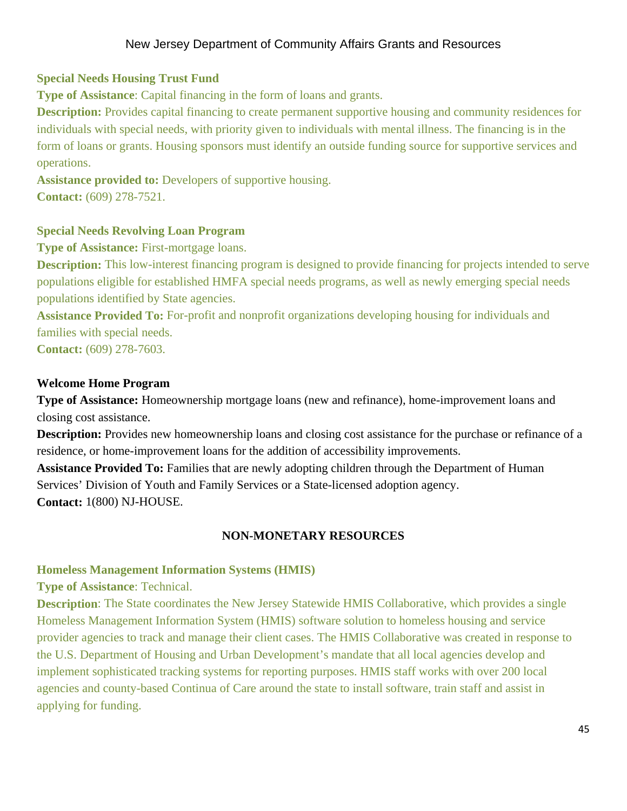# **Special Needs Housing Trust Fund**

**Type of Assistance**: Capital financing in the form of loans and grants.

**Description:** Provides capital financing to create permanent supportive housing and community residences for individuals with special needs, with priority given to individuals with mental illness. The financing is in the form of loans or grants. Housing sponsors must identify an outside funding source for supportive services and operations.

**Assistance provided to:** Developers of supportive housing. **Contact:** (609) 278-7521.

# **Special Needs Revolving Loan Program**

**Type of Assistance:** First-mortgage loans.

**Description:** This low-interest financing program is designed to provide financing for projects intended to serve populations eligible for established HMFA special needs programs, as well as newly emerging special needs populations identified by State agencies.

**Assistance Provided To:** For-profit and nonprofit organizations developing housing for individuals and families with special needs.

**Contact:** (609) 278-7603.

# **Welcome Home Program**

**Type of Assistance:** Homeownership mortgage loans (new and refinance), home-improvement loans and closing cost assistance.

**Description:** Provides new homeownership loans and closing cost assistance for the purchase or refinance of a residence, or home-improvement loans for the addition of accessibility improvements.

**Assistance Provided To:** Families that are newly adopting children through the Department of Human Services' Division of Youth and Family Services or a State-licensed adoption agency. **Contact:** 1(800) NJ-HOUSE.

# **NON-MONETARY RESOURCES**

# **Homeless Management Information Systems (HMIS)**

**Type of Assistance**: Technical.

**Description**: The State coordinates the New Jersey Statewide HMIS Collaborative, which provides a single Homeless Management Information System (HMIS) software solution to homeless housing and service provider agencies to track and manage their client cases. The HMIS Collaborative was created in response to the U.S. Department of Housing and Urban Development's mandate that all local agencies develop and implement sophisticated tracking systems for reporting purposes. HMIS staff works with over 200 local agencies and county-based Continua of Care around the state to install software, train staff and assist in applying for funding.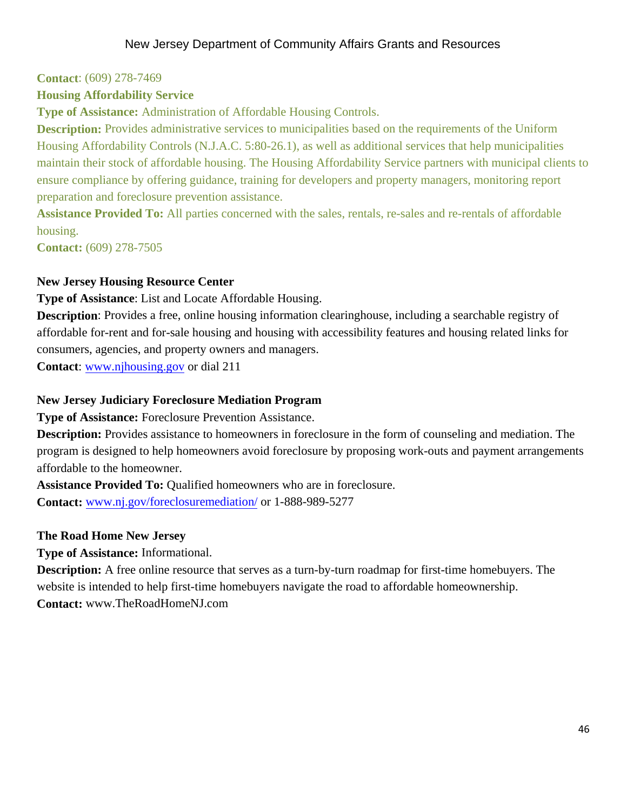#### **Contact**: (609) 278-7469

#### **Housing Affordability Service**

**Type of Assistance:** Administration of Affordable Housing Controls.

**Description:** Provides administrative services to municipalities based on the requirements of the Uniform Housing Affordability Controls (N.J.A.C. 5:80-26.1), as well as additional services that help municipalities maintain their stock of affordable housing. The Housing Affordability Service partners with municipal clients to ensure compliance by offering guidance, training for developers and property managers, monitoring report preparation and foreclosure prevention assistance.

**Assistance Provided To:** All parties concerned with the sales, rentals, re-sales and re-rentals of affordable housing.

**Contact:** (609) 278-7505

#### **New Jersey Housing Resource Center**

**Type of Assistance**: List and Locate Affordable Housing.

**Description**: Provides a free, online housing information clearinghouse, including a searchable registry of affordable for-rent and for-sale housing and housing with accessibility features and housing related links for consumers, agencies, and property owners and managers.

**Contact**: www.njhousing.gov or dial 211

#### **New Jersey Judiciary Foreclosure Mediation Program**

**Type of Assistance:** Foreclosure Prevention Assistance.

**Description:** Provides assistance to homeowners in foreclosure in the form of counseling and mediation. The program is designed to help homeowners avoid foreclosure by proposing work-outs and payment arrangements affordable to the homeowner.

**Assistance Provided To:** Qualified homeowners who are in foreclosure.

**Contact:** www.nj.gov/foreclosuremediation/ or 1-888-989-5277

#### **The Road Home New Jersey**

**Type of Assistance:** Informational.

**Description:** A free online resource that serves as a turn-by-turn roadmap for first-time homebuyers. The website is intended to help first-time homebuyers navigate the road to affordable homeownership. **Contact:** www.TheRoadHomeNJ.com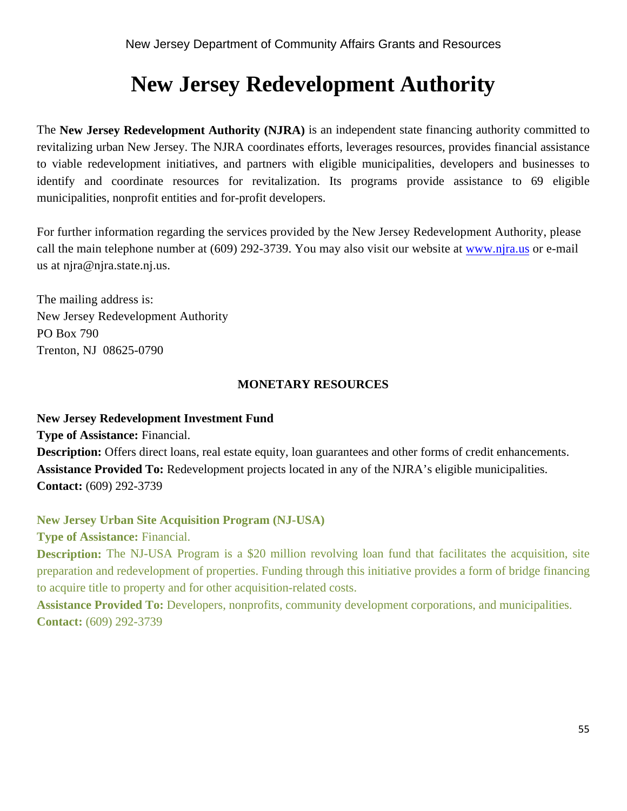# **New Jersey Redevelopment Authority**

The **New Jersey Redevelopment Authority (NJRA)** is an independent state financing authority committed to revitalizing urban New Jersey. The NJRA coordinates efforts, leverages resources, provides financial assistance to viable redevelopment initiatives, and partners with eligible municipalities, developers and businesses to identify and coordinate resources for revitalization. Its programs provide assistance to 69 eligible municipalities, nonprofit entities and for-profit developers.

For further information regarding the services provided by the New Jersey Redevelopment Authority, please call the main telephone number at (609) 292-3739. You may also visit our website at www.njra.us or e-mail us at njra@njra.state.nj.us.

The mailing address is: New Jersey Redevelopment Authority PO Box 790 Trenton, NJ 08625-0790

#### **MONETARY RESOURCES**

#### **New Jersey Redevelopment Investment Fund**

**Type of Assistance:** Financial.

**Description:** Offers direct loans, real estate equity, loan guarantees and other forms of credit enhancements. **Assistance Provided To:** Redevelopment projects located in any of the NJRA's eligible municipalities. **Contact:** (609) 292-3739

# **New Jersey Urban Site Acquisition Program (NJ-USA)**

**Type of Assistance:** Financial.

**Description:** The NJ-USA Program is a \$20 million revolving loan fund that facilitates the acquisition, site preparation and redevelopment of properties. Funding through this initiative provides a form of bridge financing to acquire title to property and for other acquisition-related costs.

**Assistance Provided To:** Developers, nonprofits, community development corporations, and municipalities. **Contact:** (609) 292-3739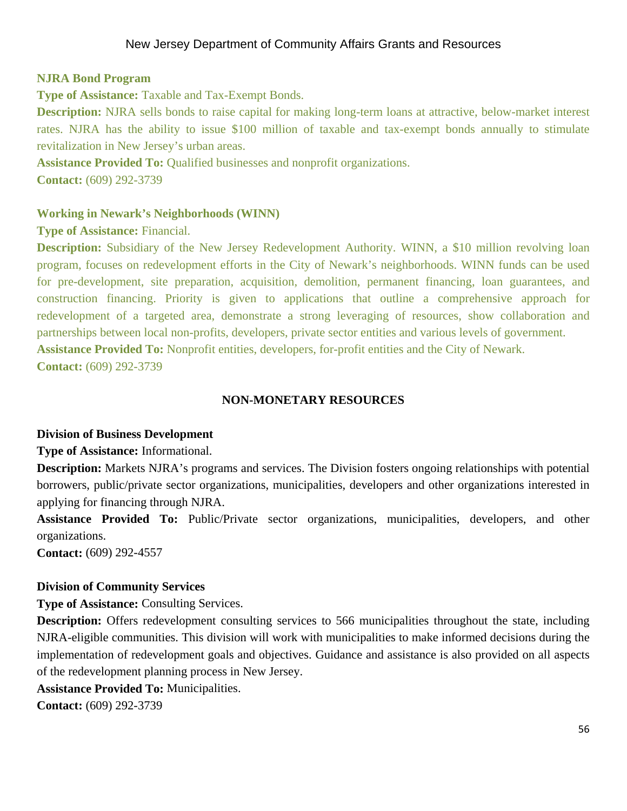# **NJRA Bond Program**

**Type of Assistance:** Taxable and Tax-Exempt Bonds.

**Description:** NJRA sells bonds to raise capital for making long-term loans at attractive, below-market interest rates. NJRA has the ability to issue \$100 million of taxable and tax-exempt bonds annually to stimulate revitalization in New Jersey's urban areas.

**Assistance Provided To:** Qualified businesses and nonprofit organizations. **Contact:** (609) 292-3739

# **Working in Newark's Neighborhoods (WINN)**

**Type of Assistance:** Financial.

**Description:** Subsidiary of the New Jersey Redevelopment Authority. WINN, a \$10 million revolving loan program, focuses on redevelopment efforts in the City of Newark's neighborhoods. WINN funds can be used for pre-development, site preparation, acquisition, demolition, permanent financing, loan guarantees, and construction financing. Priority is given to applications that outline a comprehensive approach for redevelopment of a targeted area, demonstrate a strong leveraging of resources, show collaboration and partnerships between local non-profits, developers, private sector entities and various levels of government. **Assistance Provided To:** Nonprofit entities, developers, for-profit entities and the City of Newark.

**Contact:** (609) 292-3739

# **NON-MONETARY RESOURCES**

#### **Division of Business Development**

**Type of Assistance:** Informational.

**Description:** Markets NJRA's programs and services. The Division fosters ongoing relationships with potential borrowers, public/private sector organizations, municipalities, developers and other organizations interested in applying for financing through NJRA.

**Assistance Provided To:** Public/Private sector organizations, municipalities, developers, and other organizations.

**Contact:** (609) 292-4557

# **Division of Community Services**

**Type of Assistance:** Consulting Services.

**Description:** Offers redevelopment consulting services to 566 municipalities throughout the state, including NJRA-eligible communities. This division will work with municipalities to make informed decisions during the implementation of redevelopment goals and objectives. Guidance and assistance is also provided on all aspects of the redevelopment planning process in New Jersey.

**Assistance Provided To:** Municipalities.

**Contact:** (609) 292-3739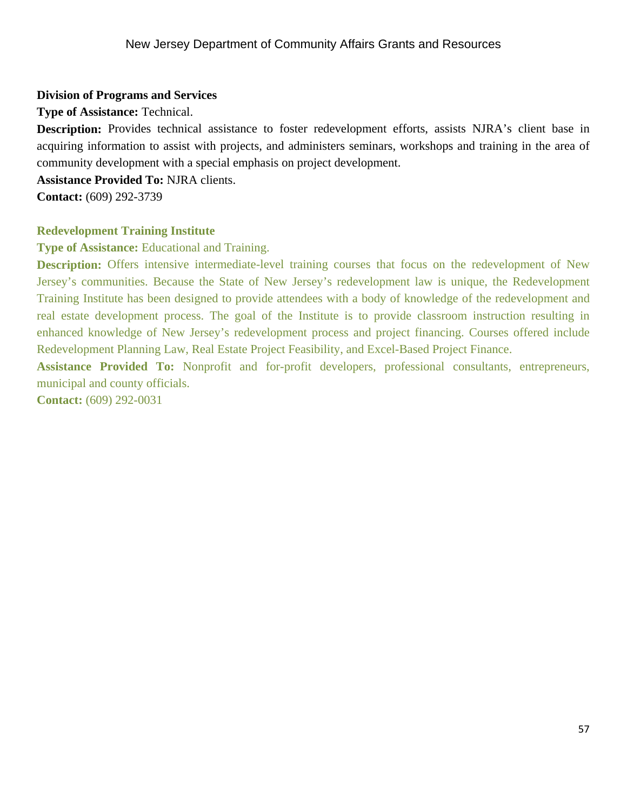#### **Division of Programs and Services**

**Type of Assistance:** Technical.

**Description:** Provides technical assistance to foster redevelopment efforts, assists NJRA's client base in acquiring information to assist with projects, and administers seminars, workshops and training in the area of community development with a special emphasis on project development.

**Assistance Provided To:** NJRA clients.

**Contact:** (609) 292-3739

# **Redevelopment Training Institute**

**Type of Assistance:** Educational and Training.

**Description:** Offers intensive intermediate-level training courses that focus on the redevelopment of New Jersey's communities. Because the State of New Jersey's redevelopment law is unique, the Redevelopment Training Institute has been designed to provide attendees with a body of knowledge of the redevelopment and real estate development process. The goal of the Institute is to provide classroom instruction resulting in enhanced knowledge of New Jersey's redevelopment process and project financing. Courses offered include Redevelopment Planning Law, Real Estate Project Feasibility, and Excel-Based Project Finance.

**Assistance Provided To:** Nonprofit and for-profit developers, professional consultants, entrepreneurs, municipal and county officials.

**Contact:** (609) 292-0031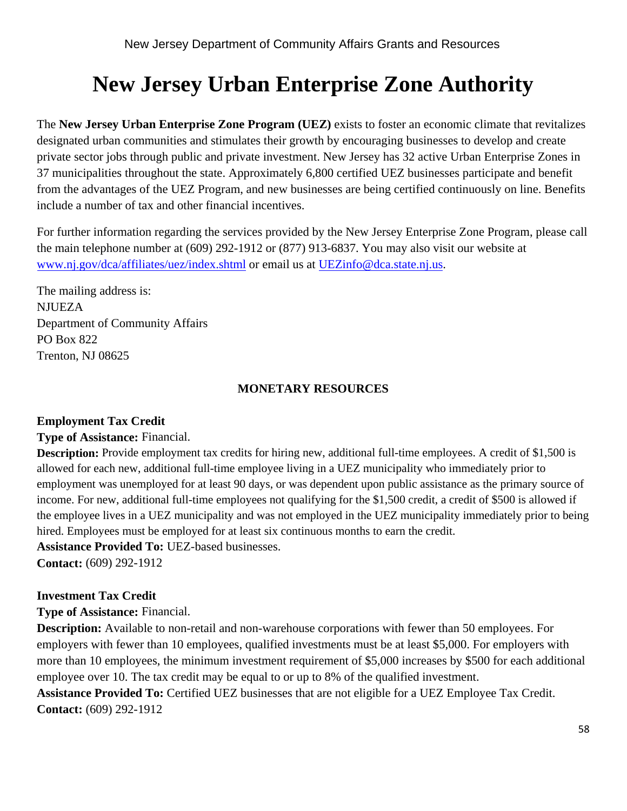# **New Jersey Urban Enterprise Zone Authority**

The **New Jersey Urban Enterprise Zone Program (UEZ)** exists to foster an economic climate that revitalizes designated urban communities and stimulates their growth by encouraging businesses to develop and create private sector jobs through public and private investment. New Jersey has 32 active Urban Enterprise Zones in 37 municipalities throughout the state. Approximately 6,800 certified UEZ businesses participate and benefit from the advantages of the UEZ Program, and new businesses are being certified continuously on line. Benefits include a number of tax and other financial incentives.

For further information regarding the services provided by the New Jersey Enterprise Zone Program, please call the main telephone number at (609) 292-1912 or (877) 913-6837. You may also visit our website at www.nj.gov/dca/affiliates/uez/index.shtml or email us at UEZinfo@dca.state.nj.us.

The mailing address is: **NJUEZA** Department of Community Affairs PO Box 822 Trenton, NJ 08625

# **MONETARY RESOURCES**

# **Employment Tax Credit**

#### **Type of Assistance:** Financial.

**Description:** Provide employment tax credits for hiring new, additional full-time employees. A credit of \$1,500 is allowed for each new, additional full-time employee living in a UEZ municipality who immediately prior to employment was unemployed for at least 90 days, or was dependent upon public assistance as the primary source of income. For new, additional full-time employees not qualifying for the \$1,500 credit, a credit of \$500 is allowed if the employee lives in a UEZ municipality and was not employed in the UEZ municipality immediately prior to being hired. Employees must be employed for at least six continuous months to earn the credit.

**Assistance Provided To:** UEZ-based businesses.

**Contact:** (609) 292-1912

# **Investment Tax Credit**

**Type of Assistance:** Financial.

**Description:** Available to non-retail and non-warehouse corporations with fewer than 50 employees. For employers with fewer than 10 employees, qualified investments must be at least \$5,000. For employers with more than 10 employees, the minimum investment requirement of \$5,000 increases by \$500 for each additional employee over 10. The tax credit may be equal to or up to 8% of the qualified investment.

**Assistance Provided To:** Certified UEZ businesses that are not eligible for a UEZ Employee Tax Credit. **Contact:** (609) 292-1912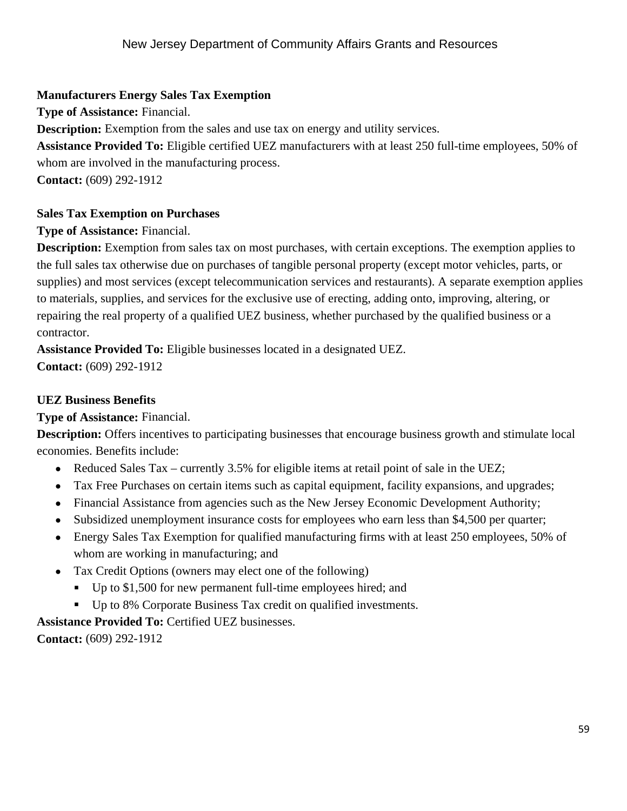# **Manufacturers Energy Sales Tax Exemption**

**Type of Assistance:** Financial.

**Description:** Exemption from the sales and use tax on energy and utility services.

**Assistance Provided To:** Eligible certified UEZ manufacturers with at least 250 full-time employees, 50% of whom are involved in the manufacturing process.

**Contact:** (609) 292-1912

# **Sales Tax Exemption on Purchases**

**Type of Assistance:** Financial.

**Description:** Exemption from sales tax on most purchases, with certain exceptions. The exemption applies to the full sales tax otherwise due on purchases of tangible personal property (except motor vehicles, parts, or supplies) and most services (except telecommunication services and restaurants). A separate exemption applies to materials, supplies, and services for the exclusive use of erecting, adding onto, improving, altering, or repairing the real property of a qualified UEZ business, whether purchased by the qualified business or a contractor.

**Assistance Provided To:** Eligible businesses located in a designated UEZ. **Contact:** (609) 292-1912

# **UEZ Business Benefits**

**Type of Assistance:** Financial.

**Description:** Offers incentives to participating businesses that encourage business growth and stimulate local economies. Benefits include:

- Reduced Sales Tax currently 3.5% for eligible items at retail point of sale in the UEZ;
- Tax Free Purchases on certain items such as capital equipment, facility expansions, and upgrades;
- Financial Assistance from agencies such as the New Jersey Economic Development Authority;
- Subsidized unemployment insurance costs for employees who earn less than \$4,500 per quarter;
- Energy Sales Tax Exemption for qualified manufacturing firms with at least 250 employees, 50% of whom are working in manufacturing; and
- Tax Credit Options (owners may elect one of the following)
	- Up to \$1,500 for new permanent full-time employees hired; and
- Up to 8% Corporate Business Tax credit on qualified investments.

**Assistance Provided To:** Certified UEZ businesses.

**Contact:** (609) 292-1912